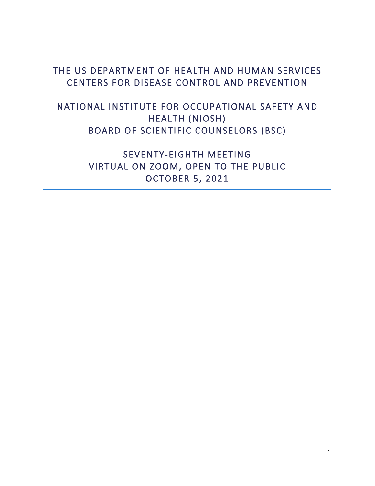### THE US DEPARTMENT OF HEALTH AND HUMAN SERVICES CENTERS FOR DISEASE CONTROL AND PREVENTION

### NATIONAL INSTITUTE FOR OCCUPATIONAL SAFETY AND HEALTH (NIOSH) BOARD OF SCIENTIFIC COUNSELORS (BSC)

SEVENTY-EIGHTH MEETING VIRTUAL ON ZOOM, OPEN TO THE PUBLIC OCTOBER 5, 2021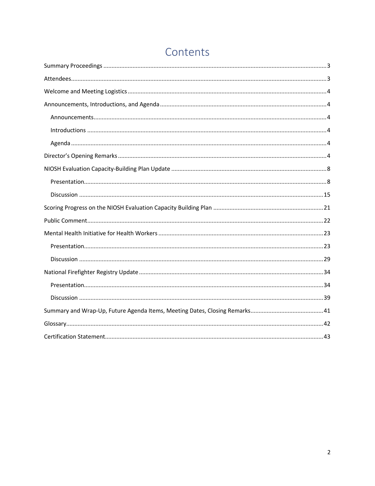| Contents |  |
|----------|--|
|          |  |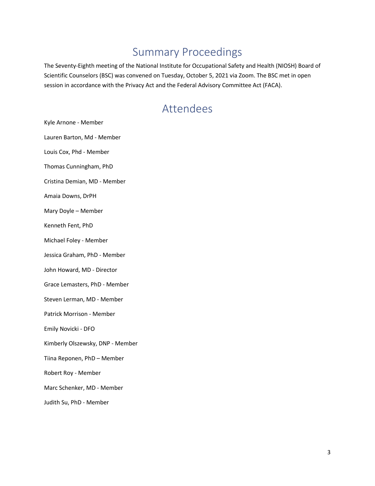### Summary Proceedings

<span id="page-2-0"></span>The Seventy-Eighth meeting of the National Institute for Occupational Safety and Health (NIOSH) Board of Scientific Counselors (BSC) was convened on Tuesday, October 5, 2021 via Zoom. The BSC met in open session in accordance with the Privacy Act and the Federal Advisory Committee Act (FACA).

### Attendees

<span id="page-2-1"></span>Kyle Arnone - Member Lauren Barton, Md - Member Louis Cox, Phd - Member Thomas Cunningham, PhD Cristina Demian, MD - Member Amaia Downs, DrPH Mary Doyle – Member Kenneth Fent, PhD Michael Foley - Member Jessica Graham, PhD - Member John Howard, MD - Director Grace Lemasters, PhD - Member Steven Lerman, MD - Member Patrick Morrison - Member Emily Novicki - DFO Kimberly Olszewsky, DNP - Member Tiina Reponen, PhD – Member Robert Roy - Member Marc Schenker, MD - Member

Judith Su, PhD - Member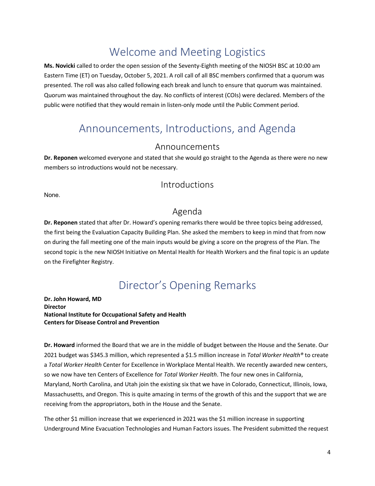## Welcome and Meeting Logistics

<span id="page-3-0"></span>**Ms. Novicki** called to order the open session of the Seventy-Eighth meeting of the NIOSH BSC at 10:00 am Eastern Time (ET) on Tuesday, October 5, 2021. A roll call of all BSC members confirmed that a quorum was presented. The roll was also called following each break and lunch to ensure that quorum was maintained. Quorum was maintained throughout the day. No conflicts of interest (COIs) were declared. Members of the public were notified that they would remain in listen-only mode until the Public Comment period.

### <span id="page-3-1"></span>Announcements, Introductions, and Agenda

#### Announcements

<span id="page-3-2"></span>**Dr. Reponen** welcomed everyone and stated that she would go straight to the Agenda as there were no new members so introductions would not be necessary.

#### Introductions

<span id="page-3-4"></span><span id="page-3-3"></span>None.

#### Agenda

**Dr. Reponen** stated that after Dr. Howard's opening remarks there would be three topics being addressed, the first being the Evaluation Capacity Building Plan. She asked the members to keep in mind that from now on during the fall meeting one of the main inputs would be giving a score on the progress of the Plan. The second topic is the new NIOSH Initiative on Mental Health for Health Workers and the final topic is an update on the Firefighter Registry.

### Director's Opening Remarks

<span id="page-3-5"></span>**Dr. John Howard, MD Director National Institute for Occupational Safety and Health Centers for Disease Control and Prevention**

**Dr. Howard** informed the Board that we are in the middle of budget between the House and the Senate. Our 2021 budget was \$345.3 million, which represented a \$1.5 million increase in *Total Worker Health®* to create a *Total Worker Health* Center for Excellence in Workplace Mental Health. We recently awarded new centers, so we now have ten Centers of Excellence for *Total Worker Health*. The four new ones in California, Maryland, North Carolina, and Utah join the existing six that we have in Colorado, Connecticut, Illinois, Iowa, Massachusetts, and Oregon. This is quite amazing in terms of the growth of this and the support that we are receiving from the appropriators, both in the House and the Senate.

The other \$1 million increase that we experienced in 2021 was the \$1 million increase in supporting Underground Mine Evacuation Technologies and Human Factors issues. The President submitted the request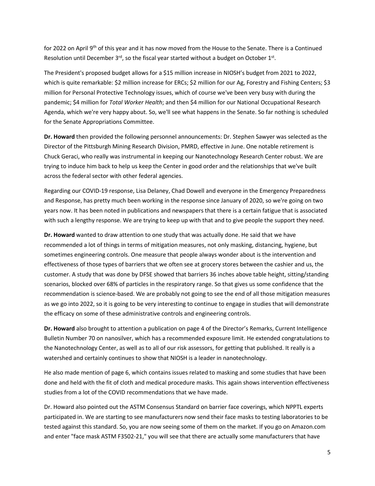for 2022 on April 9<sup>th</sup> of this year and it has now moved from the House to the Senate. There is a Continued Resolution until December  $3<sup>rd</sup>$ , so the fiscal year started without a budget on October 1st.

The President's proposed budget allows for a \$15 million increase in NIOSH's budget from 2021 to 2022, which is quite remarkable: \$2 million increase for ERCs; \$2 million for our Ag, Forestry and Fishing Centers; \$3 million for Personal Protective Technology issues, which of course we've been very busy with during the pandemic; \$4 million for *Total Worker Health*; and then \$4 million for our National Occupational Research Agenda, which we're very happy about. So, we'll see what happens in the Senate. So far nothing is scheduled for the Senate Appropriations Committee.

**Dr. Howard** then provided the following personnel announcements: Dr. Stephen Sawyer was selected as the Director of the Pittsburgh Mining Research Division, PMRD, effective in June. One notable retirement is Chuck Geraci, who really was instrumental in keeping our Nanotechnology Research Center robust. We are trying to induce him back to help us keep the Center in good order and the relationships that we've built across the federal sector with other federal agencies.

Regarding our COVID-19 response, Lisa Delaney, Chad Dowell and everyone in the Emergency Preparedness and Response, has pretty much been working in the response since January of 2020, so we're going on two years now. It has been noted in publications and newspapers that there is a certain fatigue that is associated with such a lengthy response. We are trying to keep up with that and to give people the support they need.

**Dr. Howard** wanted to draw attention to one study that was actually done. He said that we have recommended a lot of things in terms of mitigation measures, not only masking, distancing, hygiene, but sometimes engineering controls. One measure that people always wonder about is the intervention and effectiveness of those types of barriers that we often see at grocery stores between the cashier and us, the customer. A study that was done by DFSE showed that barriers 36 inches above table height, sitting/standing scenarios, blocked over 68% of particles in the respiratory range. So that gives us some confidence that the recommendation is science-based. We are probably not going to see the end of all those mitigation measures as we go into 2022, so it is going to be very interesting to continue to engage in studies that will demonstrate the efficacy on some of these administrative controls and engineering controls.

**Dr. Howard** also brought to attention a publication on page 4 of the Director's Remarks, Current Intelligence Bulletin Number 70 on nanosilver, which has a recommended exposure limit. He extended congratulations to the Nanotechnology Center, as well as to all of our risk assessors, for getting that published. It really is a watershed and certainly continues to show that NIOSH is a leader in nanotechnology.

He also made mention of page 6, which contains issues related to masking and some studies that have been done and held with the fit of cloth and medical procedure masks. This again shows intervention effectiveness studies from a lot of the COVID recommendations that we have made.

Dr. Howard also pointed out the ASTM Consensus Standard on barrier face coverings, which NPPTL experts participated in. We are starting to see manufacturers now send their face masks to testing laboratories to be tested against this standard. So, you are now seeing some of them on the market. If you go on Amazon.com and enter "face mask ASTM F3502-21," you will see that there are actually some manufacturers that have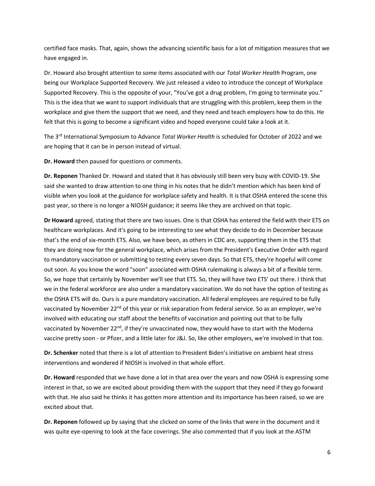certified face masks. That, again, shows the advancing scientific basis for a lot of mitigation measures that we have engaged in.

Dr. Howard also brought attention to some items associated with our *Total Worker Health* Program, one being our Workplace Supported Recovery. We just released a video to introduce the concept of Workplace Supported Recovery. This is the opposite of your, "You've got a drug problem, I'm going to terminate you." This is the idea that we want to support individuals that are struggling with this problem, keep them in the workplace and give them the support that we need, and they need and teach employers how to do this. He felt that this is going to become a significant video and hoped everyone could take a look at it.

The 3rd International Symposium to Advance *Total Worker Health* is scheduled for October of 2022 and we are hoping that it can be in person instead of virtual.

**Dr. Howard** then paused for questions or comments.

**Dr. Reponen** Thanked Dr. Howard and stated that it has obviously still been very busy with COVID-19. She said she wanted to draw attention to one thing in his notes that he didn't mention which has been kind of visible when you look at the guidance for workplace safety and health. It is that OSHA entered the scene this past year, so there is no longer a NIOSH guidance; it seems like they are archived on that topic.

**Dr Howard** agreed, stating that there are two issues. One is that OSHA has entered the field with their ETS on healthcare workplaces. And it's going to be interesting to see what they decide to do in December because that's the end of six-month ETS. Also, we have been, as others in CDC are, supporting them in the ETS that they are doing now for the general workplace, which arises from the President's Executive Order with regard to mandatory vaccination or submitting to testing every seven days. So that ETS, they're hopeful will come out soon. As you know the word "soon" associated with OSHA rulemaking is always a bit of a flexible term. So, we hope that certainly by November we'll see that ETS. So, they will have two ETS' out there. I think that we in the federal workforce are also under a mandatory vaccination. We do not have the option of testing as the OSHA ETS will do. Ours is a pure mandatory vaccination. All federal employees are required to be fully vaccinated by November 22<sup>nd</sup> of this year or risk separation from federal service. So as an employer, we're involved with educating our staff about the benefits of vaccination and pointing out that to be fully vaccinated by November  $22<sup>nd</sup>$ , if they're unvaccinated now, they would have to start with the Moderna vaccine pretty soon - or Pfizer, and a little later for J&J. So, like other employers, we're involved in that too.

**Dr. Schenker** noted that there is a lot of attention to President Biden's initiative on ambient heat stress interventions and wondered if NIOSH is involved in that whole effort.

**Dr. Howard** responded that we have done a lot in that area over the years and now OSHA is expressing some interest in that, so we are excited about providing them with the support that they need if they go forward with that. He also said he thinks it has gotten more attention and its importance has been raised, so we are excited about that.

**Dr. Reponen** followed up by saying that she clicked on some of the links that were in the document and it was quite eye-opening to look at the face coverings. She also commented that if you look at the ASTM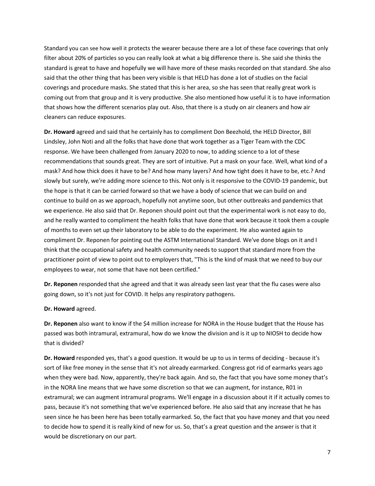Standard you can see how well it protects the wearer because there are a lot of these face coverings that only filter about 20% of particles so you can really look at what a big difference there is. She said she thinks the standard is great to have and hopefully we will have more of these masks recorded on that standard. She also said that the other thing that has been very visible is that HELD has done a lot of studies on the facial coverings and procedure masks. She stated that this is her area, so she has seen that really great work is coming out from that group and it is very productive. She also mentioned how useful it is to have information that shows how the different scenarios play out. Also, that there is a study on air cleaners and how air cleaners can reduce exposures.

**Dr. Howard** agreed and said that he certainly has to compliment Don Beezhold, the HELD Director, Bill Lindsley, John Noti and all the folks that have done that work together as a Tiger Team with the CDC response. We have been challenged from January 2020 to now, to adding science to a lot of these recommendations that sounds great. They are sort of intuitive. Put a mask on your face. Well, what kind of a mask? And how thick does it have to be? And how many layers? And how tight does it have to be, etc.? And slowly but surely, we're adding more science to this. Not only is it responsive to the COVID-19 pandemic, but the hope is that it can be carried forward so that we have a body of science that we can build on and continue to build on as we approach, hopefully not anytime soon, but other outbreaks and pandemics that we experience. He also said that Dr. Reponen should point out that the experimental work is not easy to do, and he really wanted to compliment the health folks that have done that work because it took them a couple of months to even set up their laboratory to be able to do the experiment. He also wanted again to compliment Dr. Reponen for pointing out the ASTM International Standard. We've done blogs on it and I think that the occupational safety and health community needs to support that standard more from the practitioner point of view to point out to employers that, "This is the kind of mask that we need to buy our employees to wear, not some that have not been certified."

**Dr. Reponen** responded that she agreed and that it was already seen last year that the flu cases were also going down, so it's not just for COVID. It helps any respiratory pathogens.

**Dr. Howard** agreed.

**Dr. Reponen** also want to know if the \$4 million increase for NORA in the House budget that the House has passed was both intramural, extramural, how do we know the division and is it up to NIOSH to decide how that is divided?

**Dr. Howard** responded yes, that's a good question. It would be up to us in terms of deciding - because it's sort of like free money in the sense that it's not already earmarked. Congress got rid of earmarks years ago when they were bad. Now, apparently, they're back again. And so, the fact that you have some money that's in the NORA line means that we have some discretion so that we can augment, for instance, R01 in extramural; we can augment intramural programs. We'll engage in a discussion about it if it actually comes to pass, because it's not something that we've experienced before. He also said that any increase that he has seen since he has been here has been totally earmarked. So, the fact that you have money and that you need to decide how to spend it is really kind of new for us. So, that's a great question and the answer is that it would be discretionary on our part.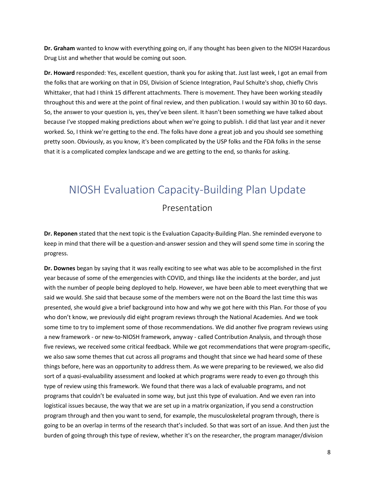**Dr. Graham** wanted to know with everything going on, if any thought has been given to the NIOSH Hazardous Drug List and whether that would be coming out soon.

**Dr. Howard** responded: Yes, excellent question, thank you for asking that. Just last week, I got an email from the folks that are working on that in DSI, Division of Science Integration, Paul Schulte's shop, chiefly Chris Whittaker, that had I think 15 different attachments. There is movement. They have been working steadily throughout this and were at the point of final review, and then publication. I would say within 30 to 60 days. So, the answer to your question is, yes, they've been silent. It hasn't been something we have talked about because I've stopped making predictions about when we're going to publish. I did that last year and it never worked. So, I think we're getting to the end. The folks have done a great job and you should see something pretty soon. Obviously, as you know, it's been complicated by the USP folks and the FDA folks in the sense that it is a complicated complex landscape and we are getting to the end, so thanks for asking.

### <span id="page-7-1"></span><span id="page-7-0"></span>NIOSH Evaluation Capacity-Building Plan Update

#### Presentation

**Dr. Reponen** stated that the next topic is the Evaluation Capacity-Building Plan. She reminded everyone to keep in mind that there will be a question-and-answer session and they will spend some time in scoring the progress.

**Dr. Downes** began by saying that it was really exciting to see what was able to be accomplished in the first year because of some of the emergencies with COVID, and things like the incidents at the border, and just with the number of people being deployed to help. However, we have been able to meet everything that we said we would. She said that because some of the members were not on the Board the last time this was presented, she would give a brief background into how and why we got here with this Plan. For those of you who don't know, we previously did eight program reviews through the National Academies. And we took some time to try to implement some of those recommendations. We did another five program reviews using a new framework - or new-to-NIOSH framework, anyway - called Contribution Analysis, and through those five reviews, we received some critical feedback. While we got recommendations that were program-specific, we also saw some themes that cut across all programs and thought that since we had heard some of these things before, here was an opportunity to address them. As we were preparing to be reviewed, we also did sort of a quasi-evaluability assessment and looked at which programs were ready to even go through this type of review using this framework. We found that there was a lack of evaluable programs, and not programs that couldn't be evaluated in some way, but just this type of evaluation. And we even ran into logistical issues because, the way that we are set up in a matrix organization, if you send a construction program through and then you want to send, for example, the musculoskeletal program through, there is going to be an overlap in terms of the research that's included. So that was sort of an issue. And then just the burden of going through this type of review, whether it's on the researcher, the program manager/division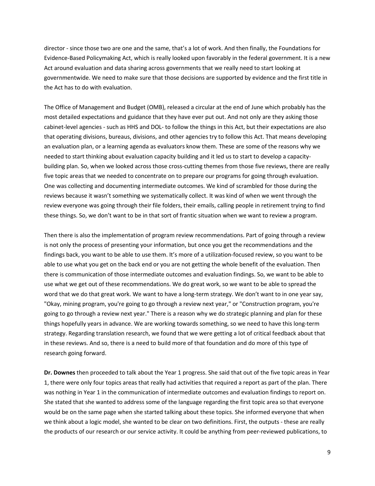director - since those two are one and the same, that's a lot of work. And then finally, the Foundations for Evidence-Based Policymaking Act, which is really looked upon favorably in the federal government. It is a new Act around evaluation and data sharing across governments that we really need to start looking at governmentwide. We need to make sure that those decisions are supported by evidence and the first title in the Act has to do with evaluation.

The Office of Management and Budget (OMB), released a circular at the end of June which probably has the most detailed expectations and guidance that they have ever put out. And not only are they asking those cabinet-level agencies - such as HHS and DOL- to follow the things in this Act, but their expectations are also that operating divisions, bureaus, divisions, and other agencies try to follow this Act. That means developing an evaluation plan, or a learning agenda as evaluators know them. These are some of the reasons why we needed to start thinking about evaluation capacity building and it led us to start to develop a capacitybuilding plan. So, when we looked across those cross-cutting themes from those five reviews, there are really five topic areas that we needed to concentrate on to prepare our programs for going through evaluation. One was collecting and documenting intermediate outcomes. We kind of scrambled for those during the reviews because it wasn't something we systematically collect. It was kind of when we went through the review everyone was going through their file folders, their emails, calling people in retirement trying to find these things. So, we don't want to be in that sort of frantic situation when we want to review a program.

Then there is also the implementation of program review recommendations. Part of going through a review is not only the process of presenting your information, but once you get the recommendations and the findings back, you want to be able to use them. It's more of a utilization-focused review, so you want to be able to use what you get on the back end or you are not getting the whole benefit of the evaluation. Then there is communication of those intermediate outcomes and evaluation findings. So, we want to be able to use what we get out of these recommendations. We do great work, so we want to be able to spread the word that we do that great work. We want to have a long-term strategy. We don't want to in one year say, "Okay, mining program, you're going to go through a review next year," or "Construction program, you're going to go through a review next year." There is a reason why we do strategic planning and plan for these things hopefully years in advance. We are working towards something, so we need to have this long-term strategy. Regarding translation research, we found that we were getting a lot of critical feedback about that in these reviews. And so, there is a need to build more of that foundation and do more of this type of research going forward.

**Dr. Downes** then proceeded to talk about the Year 1 progress. She said that out of the five topic areas in Year 1, there were only four topics areas that really had activities that required a report as part of the plan. There was nothing in Year 1 in the communication of intermediate outcomes and evaluation findings to report on. She stated that she wanted to address some of the language regarding the first topic area so that everyone would be on the same page when she started talking about these topics. She informed everyone that when we think about a logic model, she wanted to be clear on two definitions. First, the outputs - these are really the products of our research or our service activity. It could be anything from peer-reviewed publications, to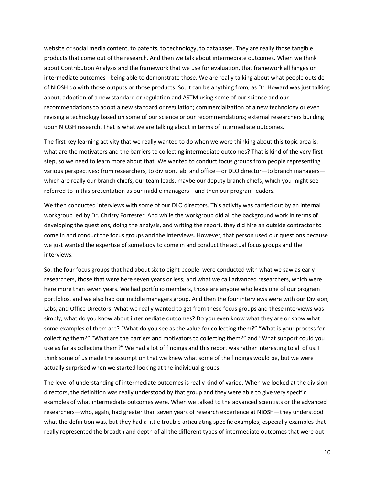website or social media content, to patents, to technology, to databases. They are really those tangible products that come out of the research. And then we talk about intermediate outcomes. When we think about Contribution Analysis and the framework that we use for evaluation, that framework all hinges on intermediate outcomes - being able to demonstrate those. We are really talking about what people outside of NIOSH do with those outputs or those products. So, it can be anything from, as Dr. Howard was just talking about, adoption of a new standard or regulation and ASTM using some of our science and our recommendations to adopt a new standard or regulation; commercialization of a new technology or even revising a technology based on some of our science or our recommendations; external researchers building upon NIOSH research. That is what we are talking about in terms of intermediate outcomes.

The first key learning activity that we really wanted to do when we were thinking about this topic area is: what are the motivators and the barriers to collecting intermediate outcomes? That is kind of the very first step, so we need to learn more about that. We wanted to conduct focus groups from people representing various perspectives: from researchers, to division, lab, and office—or DLO director—to branch managers which are really our branch chiefs, our team leads, maybe our deputy branch chiefs, which you might see referred to in this presentation as our middle managers—and then our program leaders.

We then conducted interviews with some of our DLO directors. This activity was carried out by an internal workgroup led by Dr. Christy Forrester. And while the workgroup did all the background work in terms of developing the questions, doing the analysis, and writing the report, they did hire an outside contractor to come in and conduct the focus groups and the interviews. However, that person used our questions because we just wanted the expertise of somebody to come in and conduct the actual focus groups and the interviews.

So, the four focus groups that had about six to eight people, were conducted with what we saw as early researchers, those that were here seven years or less; and what we call advanced researchers, which were here more than seven years. We had portfolio members, those are anyone who leads one of our program portfolios, and we also had our middle managers group. And then the four interviews were with our Division, Labs, and Office Directors. What we really wanted to get from these focus groups and these interviews was simply, what do you know about intermediate outcomes? Do you even know what they are or know what some examples of them are? "What do you see as the value for collecting them?" "What is your process for collecting them?" "What are the barriers and motivators to collecting them?" and "What support could you use as far as collecting them?" We had a lot of findings and this report was rather interesting to all of us. I think some of us made the assumption that we knew what some of the findings would be, but we were actually surprised when we started looking at the individual groups.

The level of understanding of intermediate outcomes is really kind of varied. When we looked at the division directors, the definition was really understood by that group and they were able to give very specific examples of what intermediate outcomes were. When we talked to the advanced scientists or the advanced researchers—who, again, had greater than seven years of research experience at NIOSH—they understood what the definition was, but they had a little trouble articulating specific examples, especially examples that really represented the breadth and depth of all the different types of intermediate outcomes that were out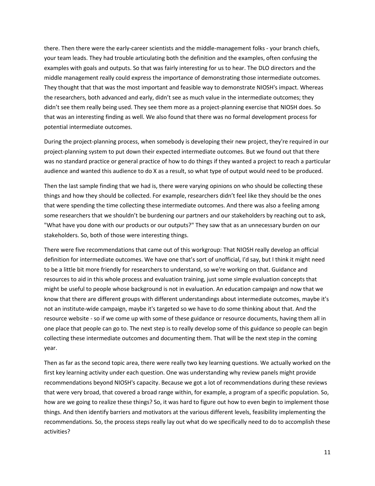there. Then there were the early-career scientists and the middle-management folks - your branch chiefs, your team leads. They had trouble articulating both the definition and the examples, often confusing the examples with goals and outputs. So that was fairly interesting for us to hear. The DLO directors and the middle management really could express the importance of demonstrating those intermediate outcomes. They thought that that was the most important and feasible way to demonstrate NIOSH's impact. Whereas the researchers, both advanced and early, didn't see as much value in the intermediate outcomes; they didn't see them really being used. They see them more as a project-planning exercise that NIOSH does. So that was an interesting finding as well. We also found that there was no formal development process for potential intermediate outcomes.

During the project-planning process, when somebody is developing their new project, they're required in our project-planning system to put down their expected intermediate outcomes. But we found out that there was no standard practice or general practice of how to do things if they wanted a project to reach a particular audience and wanted this audience to do X as a result, so what type of output would need to be produced.

Then the last sample finding that we had is, there were varying opinions on who should be collecting these things and how they should be collected. For example, researchers didn't feel like they should be the ones that were spending the time collecting these intermediate outcomes. And there was also a feeling among some researchers that we shouldn't be burdening our partners and our stakeholders by reaching out to ask, "What have you done with our products or our outputs?" They saw that as an unnecessary burden on our stakeholders. So, both of those were interesting things.

There were five recommendations that came out of this workgroup: That NIOSH really develop an official definition for intermediate outcomes. We have one that's sort of unofficial, I'd say, but I think it might need to be a little bit more friendly for researchers to understand, so we're working on that. Guidance and resources to aid in this whole process and evaluation training, just some simple evaluation concepts that might be useful to people whose background is not in evaluation. An education campaign and now that we know that there are different groups with different understandings about intermediate outcomes, maybe it's not an institute-wide campaign, maybe it's targeted so we have to do some thinking about that. And the resource website - so if we come up with some of these guidance or resource documents, having them all in one place that people can go to. The next step is to really develop some of this guidance so people can begin collecting these intermediate outcomes and documenting them. That will be the next step in the coming year.

Then as far as the second topic area, there were really two key learning questions. We actually worked on the first key learning activity under each question. One was understanding why review panels might provide recommendations beyond NIOSH's capacity. Because we got a lot of recommendations during these reviews that were very broad, that covered a broad range within, for example, a program of a specific population. So, how are we going to realize these things? So, it was hard to figure out how to even begin to implement those things. And then identify barriers and motivators at the various different levels, feasibility implementing the recommendations. So, the process steps really lay out what do we specifically need to do to accomplish these activities?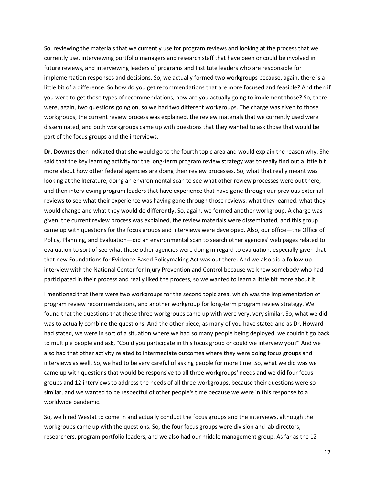So, reviewing the materials that we currently use for program reviews and looking at the process that we currently use, interviewing portfolio managers and research staff that have been or could be involved in future reviews, and interviewing leaders of programs and Institute leaders who are responsible for implementation responses and decisions. So, we actually formed two workgroups because, again, there is a little bit of a difference. So how do you get recommendations that are more focused and feasible? And then if you were to get those types of recommendations, how are you actually going to implement those? So, there were, again, two questions going on, so we had two different workgroups. The charge was given to those workgroups, the current review process was explained, the review materials that we currently used were disseminated, and both workgroups came up with questions that they wanted to ask those that would be part of the focus groups and the interviews.

**Dr. Downes** then indicated that she would go to the fourth topic area and would explain the reason why. She said that the key learning activity for the long-term program review strategy was to really find out a little bit more about how other federal agencies are doing their review processes. So, what that really meant was looking at the literature, doing an environmental scan to see what other review processes were out there, and then interviewing program leaders that have experience that have gone through our previous external reviews to see what their experience was having gone through those reviews; what they learned, what they would change and what they would do differently. So, again, we formed another workgroup. A charge was given, the current review process was explained, the review materials were disseminated, and this group came up with questions for the focus groups and interviews were developed. Also, our office—the Office of Policy, Planning, and Evaluation—did an environmental scan to search other agencies' web pages related to evaluation to sort of see what these other agencies were doing in regard to evaluation, especially given that that new Foundations for Evidence-Based Policymaking Act was out there. And we also did a follow-up interview with the National Center for Injury Prevention and Control because we knew somebody who had participated in their process and really liked the process, so we wanted to learn a little bit more about it.

I mentioned that there were two workgroups for the second topic area, which was the implementation of program review recommendations, and another workgroup for long-term program review strategy. We found that the questions that these three workgroups came up with were very, very similar. So, what we did was to actually combine the questions. And the other piece, as many of you have stated and as Dr. Howard had stated, we were in sort of a situation where we had so many people being deployed, we couldn't go back to multiple people and ask, "Could you participate in this focus group or could we interview you?" And we also had that other activity related to intermediate outcomes where they were doing focus groups and interviews as well. So, we had to be very careful of asking people for more time. So, what we did was we came up with questions that would be responsive to all three workgroups' needs and we did four focus groups and 12 interviews to address the needs of all three workgroups, because their questions were so similar, and we wanted to be respectful of other people's time because we were in this response to a worldwide pandemic.

So, we hired Westat to come in and actually conduct the focus groups and the interviews, although the workgroups came up with the questions. So, the four focus groups were division and lab directors, researchers, program portfolio leaders, and we also had our middle management group. As far as the 12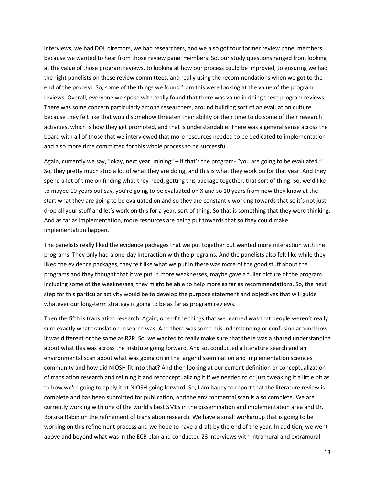interviews, we had DOL directors, we had researchers, and we also got four former review panel members because we wanted to hear from those review panel members. So, our study questions ranged from looking at the value of those program reviews, to looking at how our process could be improved, to ensuring we had the right panelists on these review committees, and really using the recommendations when we got to the end of the process. So, some of the things we found from this were looking at the value of the program reviews. Overall, everyone we spoke with really found that there was value in doing these program reviews. There was some concern particularly among researchers, around building sort of an evaluation culture because they felt like that would somehow threaten their ability or their time to do some of their research activities, which is how they get promoted, and that is understandable. There was a general sense across the board with all of those that we interviewed that more resources needed to be dedicated to implementation and also more time committed for this whole process to be successful.

Again, currently we say, "okay, next year, mining" – if that's the program- "you are going to be evaluated." So, they pretty much stop a lot of what they are doing, and this is what they work on for that year. And they spend a lot of time on finding what they need, getting this package together, that sort of thing. So, we'd like to maybe 10 years out say, you're going to be evaluated on X and so 10 years from now they know at the start what they are going to be evaluated on and so they are constantly working towards that so it's not just, drop all your stuff and let's work on this for a year, sort of thing. So that is something that they were thinking. And as far as implementation, more resources are being put towards that so they could make implementation happen.

The panelists really liked the evidence packages that we put together but wanted more interaction with the programs. They only had a one-day interaction with the programs. And the panelists also felt like while they liked the evidence packages, they felt like what we put in there was more of the good stuff about the programs and they thought that if we put in more weaknesses, maybe gave a fuller picture of the program including some of the weaknesses, they might be able to help more as far as recommendations. So, the next step for this particular activity would be to develop the purpose statement and objectives that will guide whatever our long-term strategy is going to be as far as program reviews.

Then the fifth is translation research. Again, one of the things that we learned was that people weren't really sure exactly what translation research was. And there was some misunderstanding or confusion around how it was different or the same as R2P. So, we wanted to really make sure that there was a shared understanding about what this was across the Institute going forward. And so, conducted a literature search and an environmental scan about what was going on in the larger dissemination and implementation sciences community and how did NIOSH fit into that? And then looking at our current definition or conceptualization of translation research and refining it and reconceptualizing it if we needed to or just tweaking it a little bit as to how we're going to apply it at NIOSH going forward. So, I am happy to report that the literature review is complete and has been submitted for publication, and the environmental scan is also complete. We are currently working with one of the world's best SMEs in the dissemination and implementation area and Dr. Borsika Rabin on the refinement of translation research. We have a small workgroup that is going to be working on this refinement process and we hope to have a draft by the end of the year. In addition, we went above and beyond what was in the ECB plan and conducted 23 interviews with intramural and extramural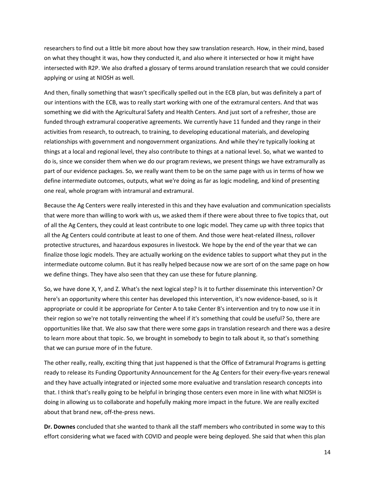researchers to find out a little bit more about how they saw translation research. How, in their mind, based on what they thought it was, how they conducted it, and also where it intersected or how it might have intersected with R2P. We also drafted a glossary of terms around translation research that we could consider applying or using at NIOSH as well.

And then, finally something that wasn't specifically spelled out in the ECB plan, but was definitely a part of our intentions with the ECB, was to really start working with one of the extramural centers. And that was something we did with the Agricultural Safety and Health Centers. And just sort of a refresher, those are funded through extramural cooperative agreements. We currently have 11 funded and they range in their activities from research, to outreach, to training, to developing educational materials, and developing relationships with government and nongovernment organizations. And while they're typically looking at things at a local and regional level, they also contribute to things at a national level. So, what we wanted to do is, since we consider them when we do our program reviews, we present things we have extramurally as part of our evidence packages. So, we really want them to be on the same page with us in terms of how we define intermediate outcomes, outputs, what we're doing as far as logic modeling, and kind of presenting one real, whole program with intramural and extramural.

Because the Ag Centers were really interested in this and they have evaluation and communication specialists that were more than willing to work with us, we asked them if there were about three to five topics that, out of all the Ag Centers, they could at least contribute to one logic model. They came up with three topics that all the Ag Centers could contribute at least to one of them. And those were heat-related illness, rollover protective structures, and hazardous exposures in livestock. We hope by the end of the year that we can finalize those logic models. They are actually working on the evidence tables to support what they put in the intermediate outcome column. But it has really helped because now we are sort of on the same page on how we define things. They have also seen that they can use these for future planning.

So, we have done X, Y, and Z. What's the next logical step? Is it to further disseminate this intervention? Or here's an opportunity where this center has developed this intervention, it's now evidence-based, so is it appropriate or could it be appropriate for Center A to take Center B's intervention and try to now use it in their region so we're not totally reinventing the wheel if it's something that could be useful? So, there are opportunities like that. We also saw that there were some gaps in translation research and there was a desire to learn more about that topic. So, we brought in somebody to begin to talk about it, so that's something that we can pursue more of in the future.

The other really, really, exciting thing that just happened is that the Office of Extramural Programs is getting ready to release its Funding Opportunity Announcement for the Ag Centers for their every-five-years renewal and they have actually integrated or injected some more evaluative and translation research concepts into that. I think that's really going to be helpful in bringing those centers even more in line with what NIOSH is doing in allowing us to collaborate and hopefully making more impact in the future. We are really excited about that brand new, off-the-press news.

**Dr. Downes** concluded that she wanted to thank all the staff members who contributed in some way to this effort considering what we faced with COVID and people were being deployed. She said that when this plan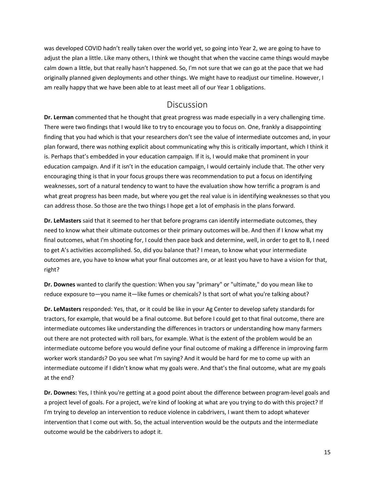was developed COVID hadn't really taken over the world yet, so going into Year 2, we are going to have to adjust the plan a little. Like many others, I think we thought that when the vaccine came things would maybe calm down a little, but that really hasn't happened. So, I'm not sure that we can go at the pace that we had originally planned given deployments and other things. We might have to readjust our timeline. However, I am really happy that we have been able to at least meet all of our Year 1 obligations.

#### **Discussion**

<span id="page-14-0"></span>**Dr. Lerman** commented that he thought that great progress was made especially in a very challenging time. There were two findings that I would like to try to encourage you to focus on. One, frankly a disappointing finding that you had which is that your researchers don't see the value of intermediate outcomes and, in your plan forward, there was nothing explicit about communicating why this is critically important, which I think it is. Perhaps that's embedded in your education campaign. If it is, I would make that prominent in your education campaign. And if it isn't in the education campaign, I would certainly include that. The other very encouraging thing is that in your focus groups there was recommendation to put a focus on identifying weaknesses, sort of a natural tendency to want to have the evaluation show how terrific a program is and what great progress has been made, but where you get the real value is in identifying weaknesses so that you can address those. So those are the two things I hope get a lot of emphasis in the plans forward.

**Dr. LeMasters** said that it seemed to her that before programs can identify intermediate outcomes, they need to know what their ultimate outcomes or their primary outcomes will be. And then if I know what my final outcomes, what I'm shooting for, I could then pace back and determine, well, in order to get to B, I need to get A's activities accomplished. So, did you balance that? I mean, to know what your intermediate outcomes are, you have to know what your final outcomes are, or at least you have to have a vision for that, right?

**Dr. Downes** wanted to clarify the question: When you say "primary" or "ultimate," do you mean like to reduce exposure to—you name it—like fumes or chemicals? Is that sort of what you're talking about?

**Dr. LeMasters** responded: Yes, that, or it could be like in your Ag Center to develop safety standards for tractors, for example, that would be a final outcome. But before I could get to that final outcome, there are intermediate outcomes like understanding the differences in tractors or understanding how many farmers out there are not protected with roll bars, for example. What is the extent of the problem would be an intermediate outcome before you would define your final outcome of making a difference in improving farm worker work standards? Do you see what I'm saying? And it would be hard for me to come up with an intermediate outcome if I didn't know what my goals were. And that's the final outcome, what are my goals at the end?

**Dr. Downes:** Yes, I think you're getting at a good point about the difference between program-level goals and a project level of goals. For a project, we're kind of looking at what are you trying to do with this project? If I'm trying to develop an intervention to reduce violence in cabdrivers, I want them to adopt whatever intervention that I come out with. So, the actual intervention would be the outputs and the intermediate outcome would be the cabdrivers to adopt it.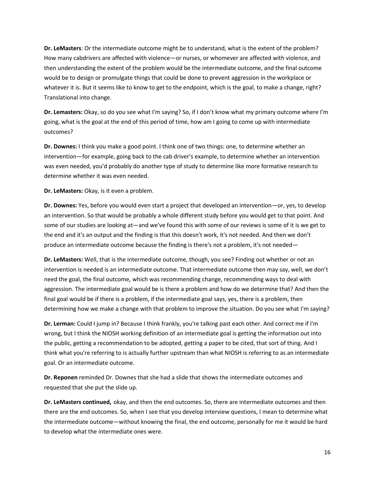**Dr. LeMasters**: Or the intermediate outcome might be to understand, what is the extent of the problem? How many cabdrivers are affected with violence—or nurses, or whomever are affected with violence, and then understanding the extent of the problem would be the intermediate outcome, and the final outcome would be to design or promulgate things that could be done to prevent aggression in the workplace or whatever it is. But it seems like to know to get to the endpoint, which is the goal, to make a change, right? Translational into change.

**Dr. Lemasters:** Okay, so do you see what I'm saying? So, if I don't know what my primary outcome where I'm going, what is the goal at the end of this period of time, how am I going to come up with intermediate outcomes?

**Dr. Downes:** I think you make a good point. I think one of two things: one, to determine whether an intervention—for example, going back to the cab driver's example, to determine whether an intervention was even needed, you'd probably do another type of study to determine like more formative research to determine whether it was even needed.

**Dr. LeMasters:** Okay, is it even a problem.

**Dr. Downes:** Yes, before you would even start a project that developed an intervention—or, yes, to develop an intervention. So that would be probably a whole different study before you would get to that point. And some of our studies are looking at—and we've found this with some of our reviews is some of it is we get to the end and it's an output and the finding is that this doesn't work, it's not needed. And then we don't produce an intermediate outcome because the finding is there's not a problem, it's not needed—

**Dr. LeMasters:** Well, that is the intermediate outcome, though, you see? Finding out whether or not an intervention is needed is an intermediate outcome. That intermediate outcome then may say, well, we don't need the goal, the final outcome, which was recommending change, recommending ways to deal with aggression. The intermediate goal would be is there a problem and how do we determine that? And then the final goal would be if there is a problem, if the intermediate goal says, yes, there is a problem, then determining how we make a change with that problem to improve the situation. Do you see what I'm saying?

**Dr. Lerman:** Could I jump in? Because I think frankly, you're talking past each other. And correct me if I'm wrong, but I think the NIOSH working definition of an intermediate goal is getting the information out into the public, getting a recommendation to be adopted, getting a paper to be cited, that sort of thing. And I think what you're referring to is actually further upstream than what NIOSH is referring to as an intermediate goal. Or an intermediate outcome.

**Dr. Reponen** reminded Dr. Downes that she had a slide that shows the intermediate outcomes and requested that she put the slide up.

**Dr. LeMasters continued,** okay, and then the end outcomes. So, there are intermediate outcomes and then there are the end outcomes. So, when I see that you develop interview questions, I mean to determine what the intermediate outcome—without knowing the final, the end outcome, personally for me it would be hard to develop what the intermediate ones were.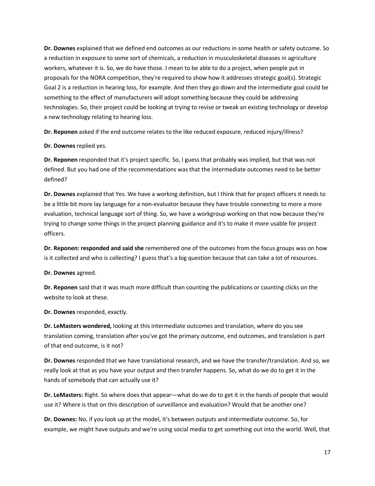**Dr. Downes** explained that we defined end outcomes as our reductions in some health or safety outcome. So a reduction in exposure to some sort of chemicals, a reduction in musculoskeletal diseases in agriculture workers, whatever it is. So, we do have those. I mean to be able to do a project, when people put in proposals for the NORA competition, they're required to show how it addresses strategic goal(s). Strategic Goal 2 is a reduction in hearing loss, for example. And then they go down and the intermediate goal could be something to the effect of manufacturers will adopt something because they could be addressing technologies. So, their project could be looking at trying to revise or tweak an existing technology or develop a new technology relating to hearing loss.

**Dr. Reponen** asked if the end outcome relates to the like reduced exposure, reduced injury/illness?

**Dr. Downes** replied yes.

**Dr. Reponen** responded that it's project specific. So, I guess that probably was implied, but that was not defined. But you had one of the recommendations was that the intermediate outcomes need to be better defined?

**Dr. Downes** explained that Yes. We have a working definition, but I think that for project officers it needs to be a little bit more lay language for a non-evaluator because they have trouble connecting to more a more evaluation, technical language sort of thing. So, we have a workgroup working on that now because they're trying to change some things in the project planning guidance and it's to make it more usable for project officers.

**Dr. Reponen: responded and said she** remembered one of the outcomes from the focus groups was on how is it collected and who is collecting? I guess that's a big question because that can take a lot of resources.

**Dr. Downes** agreed.

**Dr. Reponen** said that it was much more difficult than counting the publications or counting clicks on the website to look at these.

**Dr. Downes** responded, exactly.

**Dr. LeMasters wondered,** looking at this intermediate outcomes and translation, where do you see translation coming, translation after you've got the primary outcome, end outcomes, and translation is part of that end outcome, is it not?

**Dr. Downes** responded that we have translational research, and we have the transfer/translation. And so, we really look at that as you have your output and then transfer happens. So, what do we do to get it in the hands of somebody that can actually use it?

**Dr. LeMasters:** Right. So where does that appear—what do we do to get it in the hands of people that would use it? Where is that on this description of surveillance and evaluation? Would that be another one?

**Dr. Downes:** No, if you look up at the model, it's between outputs and intermediate outcome. So, for example, we might have outputs and we're using social media to get something out into the world. Well, that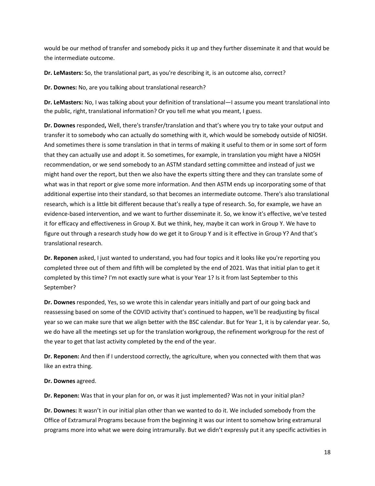would be our method of transfer and somebody picks it up and they further disseminate it and that would be the intermediate outcome.

**Dr. LeMasters:** So, the translational part, as you're describing it, is an outcome also, correct?

**Dr. Downes:** No, are you talking about translational research?

**Dr. LeMasters:** No, I was talking about your definition of translational—I assume you meant translational into the public, right, translational information? Or you tell me what you meant, I guess.

**Dr. Downes** responded**,** Well, there's transfer/translation and that's where you try to take your output and transfer it to somebody who can actually do something with it, which would be somebody outside of NIOSH. And sometimes there is some translation in that in terms of making it useful to them or in some sort of form that they can actually use and adopt it. So sometimes, for example, in translation you might have a NIOSH recommendation, or we send somebody to an ASTM standard setting committee and instead of just we might hand over the report, but then we also have the experts sitting there and they can translate some of what was in that report or give some more information. And then ASTM ends up incorporating some of that additional expertise into their standard, so that becomes an intermediate outcome. There's also translational research, which is a little bit different because that's really a type of research. So, for example, we have an evidence-based intervention, and we want to further disseminate it. So, we know it's effective, we've tested it for efficacy and effectiveness in Group X. But we think, hey, maybe it can work in Group Y. We have to figure out through a research study how do we get it to Group Y and is it effective in Group Y? And that's translational research.

**Dr. Reponen** asked, I just wanted to understand, you had four topics and it looks like you're reporting you completed three out of them and fifth will be completed by the end of 2021. Was that initial plan to get it completed by this time? I'm not exactly sure what is your Year 1? Is it from last September to this September?

**Dr. Downes** responded, Yes, so we wrote this in calendar years initially and part of our going back and reassessing based on some of the COVID activity that's continued to happen, we'll be readjusting by fiscal year so we can make sure that we align better with the BSC calendar. But for Year 1, it is by calendar year. So, we do have all the meetings set up for the translation workgroup, the refinement workgroup for the rest of the year to get that last activity completed by the end of the year.

**Dr. Reponen:** And then if I understood correctly, the agriculture, when you connected with them that was like an extra thing.

#### **Dr. Downes** agreed.

**Dr. Reponen:** Was that in your plan for on, or was it just implemented? Was not in your initial plan?

**Dr. Downes:** It wasn't in our initial plan other than we wanted to do it. We included somebody from the Office of Extramural Programs because from the beginning it was our intent to somehow bring extramural programs more into what we were doing intramurally. But we didn't expressly put it any specific activities in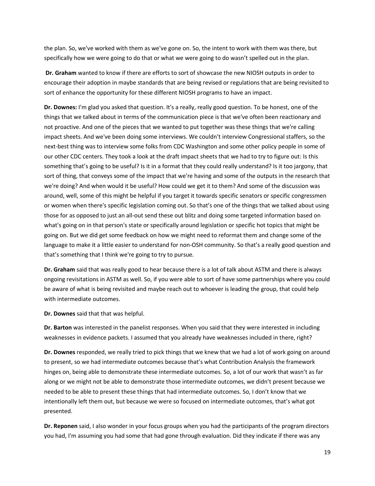the plan. So, we've worked with them as we've gone on. So, the intent to work with them was there, but specifically how we were going to do that or what we were going to do wasn't spelled out in the plan.

**Dr. Graham** wanted to know if there are efforts to sort of showcase the new NIOSH outputs in order to encourage their adoption in maybe standards that are being revised or regulations that are being revisited to sort of enhance the opportunity for these different NIOSH programs to have an impact.

**Dr. Downes:** I'm glad you asked that question. It's a really, really good question. To be honest, one of the things that we talked about in terms of the communication piece is that we've often been reactionary and not proactive. And one of the pieces that we wanted to put together was these things that we're calling impact sheets. And we've been doing some interviews. We couldn't interview Congressional staffers, so the next-best thing was to interview some folks from CDC Washington and some other policy people in some of our other CDC centers. They took a look at the draft impact sheets that we had to try to figure out: Is this something that's going to be useful? Is it in a format that they could really understand? Is it too jargony, that sort of thing, that conveys some of the impact that we're having and some of the outputs in the research that we're doing? And when would it be useful? How could we get it to them? And some of the discussion was around, well, some of this might be helpful if you target it towards specific senators or specific congressmen or women when there's specific legislation coming out. So that's one of the things that we talked about using those for as opposed to just an all-out send these out blitz and doing some targeted information based on what's going on in that person's state or specifically around legislation or specific hot topics that might be going on. But we did get some feedback on how we might need to reformat them and change some of the language to make it a little easier to understand for non-OSH community. So that's a really good question and that's something that I think we're going to try to pursue.

**Dr. Graham** said that was really good to hear because there is a lot of talk about ASTM and there is always ongoing revisitations in ASTM as well. So, if you were able to sort of have some partnerships where you could be aware of what is being revisited and maybe reach out to whoever is leading the group, that could help with intermediate outcomes.

**Dr. Downes** said that that was helpful.

**Dr. Barton** was interested in the panelist responses. When you said that they were interested in including weaknesses in evidence packets. I assumed that you already have weaknesses included in there, right?

**Dr. Downes** responded, we really tried to pick things that we knew that we had a lot of work going on around to present, so we had intermediate outcomes because that's what Contribution Analysis the framework hinges on, being able to demonstrate these intermediate outcomes. So, a lot of our work that wasn't as far along or we might not be able to demonstrate those intermediate outcomes, we didn't present because we needed to be able to present these things that had intermediate outcomes. So, I don't know that we intentionally left them out, but because we were so focused on intermediate outcomes, that's what got presented.

**Dr. Reponen** said, I also wonder in your focus groups when you had the participants of the program directors you had, I'm assuming you had some that had gone through evaluation. Did they indicate if there was any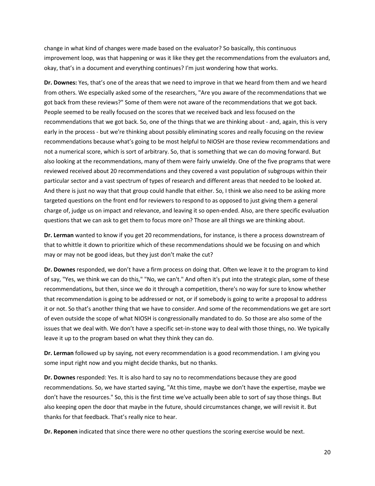change in what kind of changes were made based on the evaluator? So basically, this continuous improvement loop, was that happening or was it like they get the recommendations from the evaluators and, okay, that's in a document and everything continues? I'm just wondering how that works.

**Dr. Downes:** Yes, that's one of the areas that we need to improve in that we heard from them and we heard from others. We especially asked some of the researchers, "Are you aware of the recommendations that we got back from these reviews?" Some of them were not aware of the recommendations that we got back. People seemed to be really focused on the scores that we received back and less focused on the recommendations that we got back. So, one of the things that we are thinking about - and, again, this is very early in the process - but we're thinking about possibly eliminating scores and really focusing on the review recommendations because what's going to be most helpful to NIOSH are those review recommendations and not a numerical score, which is sort of arbitrary. So, that is something that we can do moving forward. But also looking at the recommendations, many of them were fairly unwieldy. One of the five programs that were reviewed received about 20 recommendations and they covered a vast population of subgroups within their particular sector and a vast spectrum of types of research and different areas that needed to be looked at. And there is just no way that that group could handle that either. So, I think we also need to be asking more targeted questions on the front end for reviewers to respond to as opposed to just giving them a general charge of, judge us on impact and relevance, and leaving it so open-ended. Also, are there specific evaluation questions that we can ask to get them to focus more on? Those are all things we are thinking about.

**Dr. Lerman** wanted to know if you get 20 recommendations, for instance, is there a process downstream of that to whittle it down to prioritize which of these recommendations should we be focusing on and which may or may not be good ideas, but they just don't make the cut?

**Dr. Downes** responded, we don't have a firm process on doing that. Often we leave it to the program to kind of say, "Yes, we think we can do this," "No, we can't." And often it's put into the strategic plan, some of these recommendations, but then, since we do it through a competition, there's no way for sure to know whether that recommendation is going to be addressed or not, or if somebody is going to write a proposal to address it or not. So that's another thing that we have to consider. And some of the recommendations we get are sort of even outside the scope of what NIOSH is congressionally mandated to do. So those are also some of the issues that we deal with. We don't have a specific set-in-stone way to deal with those things, no. We typically leave it up to the program based on what they think they can do.

**Dr. Lerman** followed up by saying, not every recommendation is a good recommendation. I am giving you some input right now and you might decide thanks, but no thanks.

**Dr. Downes** responded: Yes. It is also hard to say no to recommendations because they are good recommendations. So, we have started saying, "At this time, maybe we don't have the expertise, maybe we don't have the resources." So, this is the first time we've actually been able to sort of say those things. But also keeping open the door that maybe in the future, should circumstances change, we will revisit it. But thanks for that feedback. That's really nice to hear.

**Dr. Reponen** indicated that since there were no other questions the scoring exercise would be next.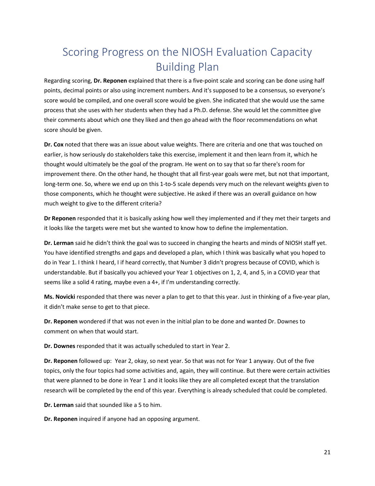## <span id="page-20-0"></span>Scoring Progress on the NIOSH Evaluation Capacity Building Plan

Regarding scoring, **Dr. Reponen** explained that there is a five-point scale and scoring can be done using half points, decimal points or also using increment numbers. And it's supposed to be a consensus, so everyone's score would be compiled, and one overall score would be given. She indicated that she would use the same process that she uses with her students when they had a Ph.D. defense. She would let the committee give their comments about which one they liked and then go ahead with the floor recommendations on what score should be given.

**Dr. Cox** noted that there was an issue about value weights. There are criteria and one that was touched on earlier, is how seriously do stakeholders take this exercise, implement it and then learn from it, which he thought would ultimately be the goal of the program. He went on to say that so far there's room for improvement there. On the other hand, he thought that all first-year goals were met, but not that important, long-term one. So, where we end up on this 1-to-5 scale depends very much on the relevant weights given to those components, which he thought were subjective. He asked if there was an overall guidance on how much weight to give to the different criteria?

**Dr Reponen** responded that it is basically asking how well they implemented and if they met their targets and it looks like the targets were met but she wanted to know how to define the implementation.

**Dr. Lerman** said he didn't think the goal was to succeed in changing the hearts and minds of NIOSH staff yet. You have identified strengths and gaps and developed a plan, which I think was basically what you hoped to do in Year 1. I think I heard, I if heard correctly, that Number 3 didn't progress because of COVID, which is understandable. But if basically you achieved your Year 1 objectives on 1, 2, 4, and 5, in a COVID year that seems like a solid 4 rating, maybe even a 4+, if I'm understanding correctly.

**Ms. Novicki** responded that there was never a plan to get to that this year. Just in thinking of a five-year plan, it didn't make sense to get to that piece.

**Dr. Reponen** wondered if that was not even in the initial plan to be done and wanted Dr. Downes to comment on when that would start.

**Dr. Downes** responded that it was actually scheduled to start in Year 2.

**Dr. Reponen** followed up: Year 2, okay, so next year. So that was not for Year 1 anyway. Out of the five topics, only the four topics had some activities and, again, they will continue. But there were certain activities that were planned to be done in Year 1 and it looks like they are all completed except that the translation research will be completed by the end of this year. Everything is already scheduled that could be completed.

**Dr. Lerman** said that sounded like a 5 to him.

**Dr. Reponen** inquired if anyone had an opposing argument.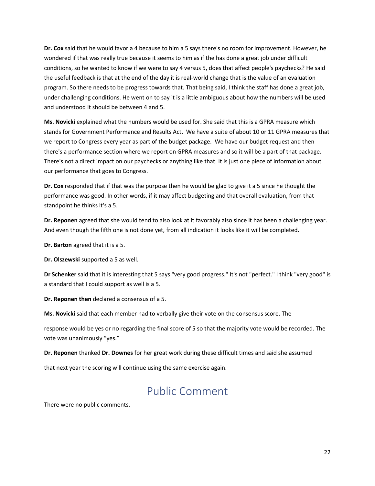**Dr. Cox** said that he would favor a 4 because to him a 5 says there's no room for improvement. However, he wondered if that was really true because it seems to him as if the has done a great job under difficult conditions, so he wanted to know if we were to say 4 versus 5, does that affect people's paychecks? He said the useful feedback is that at the end of the day it is real-world change that is the value of an evaluation program. So there needs to be progress towards that. That being said, I think the staff has done a great job, under challenging conditions. He went on to say it is a little ambiguous about how the numbers will be used and understood it should be between 4 and 5.

**Ms. Novicki** explained what the numbers would be used for. She said that this is a GPRA measure which stands for Government Performance and Results Act. We have a suite of about 10 or 11 GPRA measures that we report to Congress every year as part of the budget package. We have our budget request and then there's a performance section where we report on GPRA measures and so it will be a part of that package. There's not a direct impact on our paychecks or anything like that. It is just one piece of information about our performance that goes to Congress.

**Dr. Cox** responded that if that was the purpose then he would be glad to give it a 5 since he thought the performance was good. In other words, if it may affect budgeting and that overall evaluation, from that standpoint he thinks it's a 5.

**Dr. Reponen** agreed that she would tend to also look at it favorably also since it has been a challenging year. And even though the fifth one is not done yet, from all indication it looks like it will be completed.

**Dr. Barton** agreed that it is a 5.

**Dr. Olszewski** supported a 5 as well.

**Dr Schenker** said that it is interesting that 5 says "very good progress." It's not "perfect." I think "very good" is a standard that I could support as well is a 5.

**Dr. Reponen then** declared a consensus of a 5.

**Ms. Novicki** said that each member had to verbally give their vote on the consensus score. The

response would be yes or no regarding the final score of 5 so that the majority vote would be recorded. The vote was unanimously "yes."

**Dr. Reponen** thanked **Dr. Downes** for her great work during these difficult times and said she assumed

<span id="page-21-0"></span>that next year the scoring will continue using the same exercise again.

### Public Comment

There were no public comments.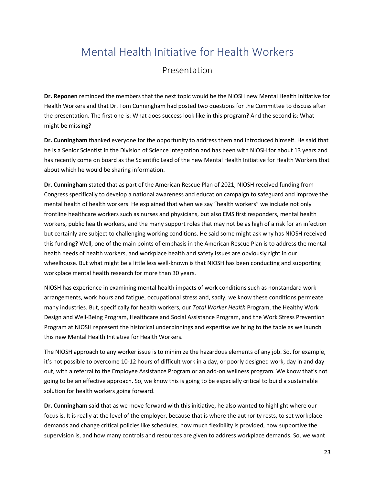## <span id="page-22-0"></span>Mental Health Initiative for Health Workers

#### Presentation

<span id="page-22-1"></span>**Dr. Reponen** reminded the members that the next topic would be the NIOSH new Mental Health Initiative for Health Workers and that Dr. Tom Cunningham had posted two questions for the Committee to discuss after the presentation. The first one is: What does success look like in this program? And the second is: What might be missing?

**Dr. Cunningham** thanked everyone for the opportunity to address them and introduced himself. He said that he is a Senior Scientist in the Division of Science Integration and has been with NIOSH for about 13 years and has recently come on board as the Scientific Lead of the new Mental Health Initiative for Health Workers that about which he would be sharing information.

**Dr. Cunningham** stated that as part of the American Rescue Plan of 2021, NIOSH received funding from Congress specifically to develop a national awareness and education campaign to safeguard and improve the mental health of health workers. He explained that when we say "health workers" we include not only frontline healthcare workers such as nurses and physicians, but also EMS first responders, mental health workers, public health workers, and the many support roles that may not be as high of a risk for an infection but certainly are subject to challenging working conditions. He said some might ask why has NIOSH received this funding? Well, one of the main points of emphasis in the American Rescue Plan is to address the mental health needs of health workers, and workplace health and safety issues are obviously right in our wheelhouse. But what might be a little less well-known is that NIOSH has been conducting and supporting workplace mental health research for more than 30 years.

NIOSH has experience in examining mental health impacts of work conditions such as nonstandard work arrangements, work hours and fatigue, occupational stress and, sadly, we know these conditions permeate many industries. But, specifically for health workers, our *Total Worker Health* Program, the Healthy Work Design and Well-Being Program, Healthcare and Social Assistance Program, and the Work Stress Prevention Program at NIOSH represent the historical underpinnings and expertise we bring to the table as we launch this new Mental Health Initiative for Health Workers.

The NIOSH approach to any worker issue is to minimize the hazardous elements of any job. So, for example, it's not possible to overcome 10-12 hours of difficult work in a day, or poorly designed work, day in and day out, with a referral to the Employee Assistance Program or an add-on wellness program. We know that's not going to be an effective approach. So, we know this is going to be especially critical to build a sustainable solution for health workers going forward.

**Dr. Cunningham** said that as we move forward with this initiative, he also wanted to highlight where our focus is. It is really at the level of the employer, because that is where the authority rests, to set workplace demands and change critical policies like schedules, how much flexibility is provided, how supportive the supervision is, and how many controls and resources are given to address workplace demands. So, we want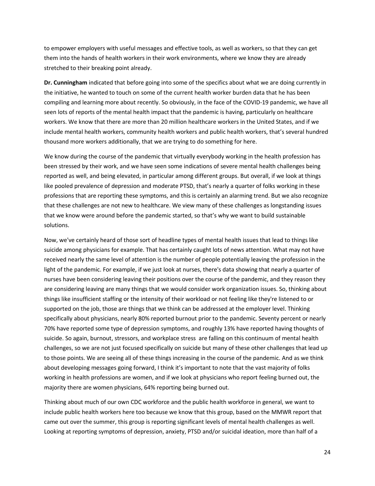to empower employers with useful messages and effective tools, as well as workers, so that they can get them into the hands of health workers in their work environments, where we know they are already stretched to their breaking point already.

**Dr. Cunningham** indicated that before going into some of the specifics about what we are doing currently in the initiative, he wanted to touch on some of the current health worker burden data that he has been compiling and learning more about recently. So obviously, in the face of the COVID-19 pandemic, we have all seen lots of reports of the mental health impact that the pandemic is having, particularly on healthcare workers. We know that there are more than 20 million healthcare workers in the United States, and if we include mental health workers, community health workers and public health workers, that's several hundred thousand more workers additionally, that we are trying to do something for here.

We know during the course of the pandemic that virtually everybody working in the health profession has been stressed by their work, and we have seen some indications of severe mental health challenges being reported as well, and being elevated, in particular among different groups. But overall, if we look at things like pooled prevalence of depression and moderate PTSD, that's nearly a quarter of folks working in these professions that are reporting these symptoms, and this is certainly an alarming trend. But we also recognize that these challenges are not new to healthcare. We view many of these challenges as longstanding issues that we know were around before the pandemic started, so that's why we want to build sustainable solutions.

Now, we've certainly heard of those sort of headline types of mental health issues that lead to things like suicide among physicians for example. That has certainly caught lots of news attention. What may not have received nearly the same level of attention is the number of people potentially leaving the profession in the light of the pandemic. For example, if we just look at nurses, there's data showing that nearly a quarter of nurses have been considering leaving their positions over the course of the pandemic, and they reason they are considering leaving are many things that we would consider work organization issues. So, thinking about things like insufficient staffing or the intensity of their workload or not feeling like they're listened to or supported on the job, those are things that we think can be addressed at the employer level. Thinking specifically about physicians, nearly 80% reported burnout prior to the pandemic. Seventy percent or nearly 70% have reported some type of depression symptoms, and roughly 13% have reported having thoughts of suicide. So again, burnout, stressors, and workplace stress are falling on this continuum of mental health challenges, so we are not just focused specifically on suicide but many of these other challenges that lead up to those points. We are seeing all of these things increasing in the course of the pandemic. And as we think about developing messages going forward, I think it's important to note that the vast majority of folks working in health professions are women, and if we look at physicians who report feeling burned out, the majority there are women physicians, 64% reporting being burned out.

Thinking about much of our own CDC workforce and the public health workforce in general, we want to include public health workers here too because we know that this group, based on the MMWR report that came out over the summer, this group is reporting significant levels of mental health challenges as well. Looking at reporting symptoms of depression, anxiety, PTSD and/or suicidal ideation, more than half of a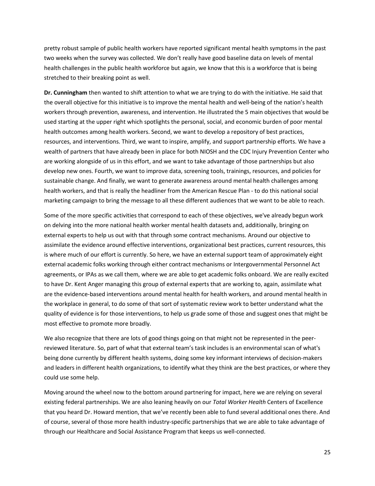pretty robust sample of public health workers have reported significant mental health symptoms in the past two weeks when the survey was collected. We don't really have good baseline data on levels of mental health challenges in the public health workforce but again, we know that this is a workforce that is being stretched to their breaking point as well.

**Dr. Cunningham** then wanted to shift attention to what we are trying to do with the initiative. He said that the overall objective for this initiative is to improve the mental health and well-being of the nation's health workers through prevention, awareness, and intervention. He illustrated the 5 main objectives that would be used starting at the upper right which spotlights the personal, social, and economic burden of poor mental health outcomes among health workers. Second, we want to develop a repository of best practices, resources, and interventions. Third, we want to inspire, amplify, and support partnership efforts. We have a wealth of partners that have already been in place for both NIOSH and the CDC Injury Prevention Center who are working alongside of us in this effort, and we want to take advantage of those partnerships but also develop new ones. Fourth, we want to improve data, screening tools, trainings, resources, and policies for sustainable change. And finally, we want to generate awareness around mental health challenges among health workers, and that is really the headliner from the American Rescue Plan - to do this national social marketing campaign to bring the message to all these different audiences that we want to be able to reach.

Some of the more specific activities that correspond to each of these objectives, we've already begun work on delving into the more national health worker mental health datasets and, additionally, bringing on external experts to help us out with that through some contract mechanisms. Around our objective to assimilate the evidence around effective interventions, organizational best practices, current resources, this is where much of our effort is currently. So here, we have an external support team of approximately eight external academic folks working through either contract mechanisms or Intergovernmental Personnel Act agreements, or IPAs as we call them, where we are able to get academic folks onboard. We are really excited to have Dr. Kent Anger managing this group of external experts that are working to, again, assimilate what are the evidence-based interventions around mental health for health workers, and around mental health in the workplace in general, to do some of that sort of systematic review work to better understand what the quality of evidence is for those interventions, to help us grade some of those and suggest ones that might be most effective to promote more broadly.

We also recognize that there are lots of good things going on that might not be represented in the peerreviewed literature. So, part of what that external team's task includes is an environmental scan of what's being done currently by different health systems, doing some key informant interviews of decision-makers and leaders in different health organizations, to identify what they think are the best practices, or where they could use some help.

Moving around the wheel now to the bottom around partnering for impact, here we are relying on several existing federal partnerships. We are also leaning heavily on our *Total Worker Health* Centers of Excellence that you heard Dr. Howard mention, that we've recently been able to fund several additional ones there. And of course, several of those more health industry-specific partnerships that we are able to take advantage of through our Healthcare and Social Assistance Program that keeps us well-connected.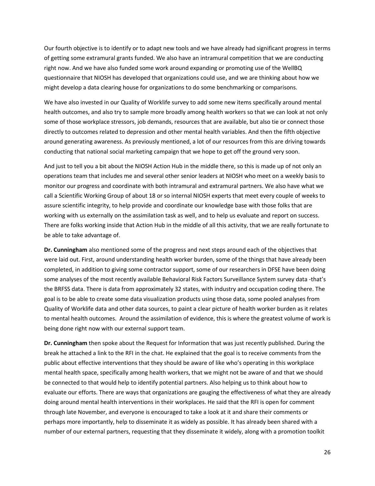Our fourth objective is to identify or to adapt new tools and we have already had significant progress in terms of getting some extramural grants funded. We also have an intramural competition that we are conducting right now. And we have also funded some work around expanding or promoting use of the WellBQ questionnaire that NIOSH has developed that organizations could use, and we are thinking about how we might develop a data clearing house for organizations to do some benchmarking or comparisons.

We have also invested in our Quality of Worklife survey to add some new items specifically around mental health outcomes, and also try to sample more broadly among health workers so that we can look at not only some of those workplace stressors, job demands, resources that are available, but also tie or connect those directly to outcomes related to depression and other mental health variables. And then the fifth objective around generating awareness. As previously mentioned, a lot of our resources from this are driving towards conducting that national social marketing campaign that we hope to get off the ground very soon.

And just to tell you a bit about the NIOSH Action Hub in the middle there, so this is made up of not only an operations team that includes me and several other senior leaders at NIOSH who meet on a weekly basis to monitor our progress and coordinate with both intramural and extramural partners. We also have what we call a Scientific Working Group of about 18 or so internal NIOSH experts that meet every couple of weeks to assure scientific integrity, to help provide and coordinate our knowledge base with those folks that are working with us externally on the assimilation task as well, and to help us evaluate and report on success. There are folks working inside that Action Hub in the middle of all this activity, that we are really fortunate to be able to take advantage of.

**Dr. Cunningham** also mentioned some of the progress and next steps around each of the objectives that were laid out. First, around understanding health worker burden, some of the things that have already been completed, in addition to giving some contractor support, some of our researchers in DFSE have been doing some analyses of the most recently available Behavioral Risk Factors Surveillance System survey data -that's the BRFSS data. There is data from approximately 32 states, with industry and occupation coding there. The goal is to be able to create some data visualization products using those data, some pooled analyses from Quality of Worklife data and other data sources, to paint a clear picture of health worker burden as it relates to mental health outcomes. Around the assimilation of evidence, this is where the greatest volume of work is being done right now with our external support team.

**Dr. Cunningham** then spoke about the Request for Information that was just recently published. During the break he attached a link to the RFI in the chat. He explained that the goal is to receive comments from the public about effective interventions that they should be aware of like who's operating in this workplace mental health space, specifically among health workers, that we might not be aware of and that we should be connected to that would help to identify potential partners. Also helping us to think about how to evaluate our efforts. There are ways that organizations are gauging the effectiveness of what they are already doing around mental health interventions in their workplaces. He said that the RFI is open for comment through late November, and everyone is encouraged to take a look at it and share their comments or perhaps more importantly, help to disseminate it as widely as possible. It has already been shared with a number of our external partners, requesting that they disseminate it widely, along with a promotion toolkit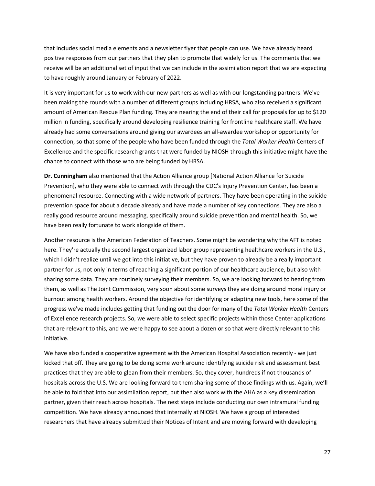that includes social media elements and a newsletter flyer that people can use. We have already heard positive responses from our partners that they plan to promote that widely for us. The comments that we receive will be an additional set of input that we can include in the assimilation report that we are expecting to have roughly around January or February of 2022.

It is very important for us to work with our new partners as well as with our longstanding partners. We've been making the rounds with a number of different groups including HRSA, who also received a significant amount of American Rescue Plan funding. They are nearing the end of their call for proposals for up to \$120 million in funding, specifically around developing resilience training for frontline healthcare staff. We have already had some conversations around giving our awardees an all-awardee workshop or opportunity for connection, so that some of the people who have been funded through the *Total Worker Health* Centers of Excellence and the specific research grants that were funded by NIOSH through this initiative might have the chance to connect with those who are being funded by HRSA.

**Dr. Cunningham** also mentioned that the Action Alliance group [National Action Alliance for Suicide Prevention], who they were able to connect with through the CDC's Injury Prevention Center, has been a phenomenal resource. Connecting with a wide network of partners. They have been operating in the suicide prevention space for about a decade already and have made a number of key connections. They are also a really good resource around messaging, specifically around suicide prevention and mental health. So, we have been really fortunate to work alongside of them.

Another resource is the American Federation of Teachers. Some might be wondering why the AFT is noted here. They're actually the second largest organized labor group representing healthcare workers in the U.S., which I didn't realize until we got into this initiative, but they have proven to already be a really important partner for us, not only in terms of reaching a significant portion of our healthcare audience, but also with sharing some data. They are routinely surveying their members. So, we are looking forward to hearing from them, as well as The Joint Commission, very soon about some surveys they are doing around moral injury or burnout among health workers. Around the objective for identifying or adapting new tools, here some of the progress we've made includes getting that funding out the door for many of the *Total Worker Health* Centers of Excellence research projects. So, we were able to select specific projects within those Center applications that are relevant to this, and we were happy to see about a dozen or so that were directly relevant to this initiative.

We have also funded a cooperative agreement with the American Hospital Association recently - we just kicked that off. They are going to be doing some work around identifying suicide risk and assessment best practices that they are able to glean from their members. So, they cover, hundreds if not thousands of hospitals across the U.S. We are looking forward to them sharing some of those findings with us. Again, we'll be able to fold that into our assimilation report, but then also work with the AHA as a key dissemination partner, given their reach across hospitals. The next steps include conducting our own intramural funding competition. We have already announced that internally at NIOSH. We have a group of interested researchers that have already submitted their Notices of Intent and are moving forward with developing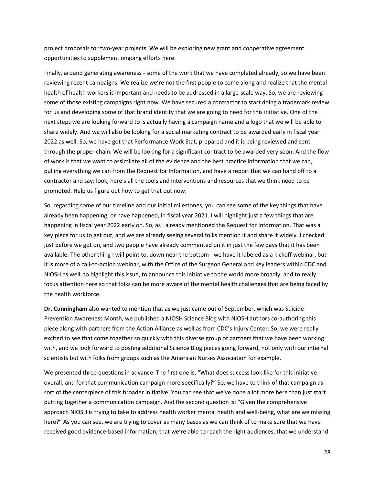project proposals for two-year projects. We will be exploring new grant and cooperative agreement opportunities to supplement ongoing efforts here.

Finally, around generating awareness - some of the work that we have completed already, so we have been reviewing recent campaigns. We realize we're not the first people to come along and realize that the mental health of health workers is important and needs to be addressed in a large-scale way. So, we are reviewing some of those existing campaigns right now. We have secured a contractor to start doing a trademark review for us and developing some of that brand identity that we are going to need for this initiative. One of the next steps we are looking forward to is actually having a campaign name and a logo that we will be able to share widely. And we will also be looking for a social marketing contract to be awarded early in fiscal year 2022 as well. So, we have got that Performance Work Stat. prepared and it is being reviewed and sent through the proper chain. We will be looking for a significant contract to be awarded very soon. And the flow of work is that we want to assimilate all of the evidence and the best practice information that we can, pulling everything we can from the Request for Information, and have a report that we can hand off to a contractor and say: look, here's all the tools and interventions and resources that we think need to be promoted. Help us figure out how to get that out now.

So, regarding some of our timeline and our initial milestones, you can see some of the key things that have already been happening, or have happened, in fiscal year 2021. I will highlight just a few things that are happening in fiscal year 2022 early on. So, as I already mentioned the Request for Information. That was a key piece for us to get out, and we are already seeing several folks mention it and share it widely. I checked just before we got on, and two people have already commented on it in just the few days that it has been available. The other thing I will point to, down near the bottom - we have it labeled as a kickoff webinar, but it is more of a call-to-action webinar, with the Office of the Surgeon General and key leaders within CDC and NIOSH as well, to highlight this issue, to announce this initiative to the world more broadly, and to really focus attention here so that folks can be more aware of the mental health challenges that are being faced by the health workforce.

**Dr. Cunningham** also wanted to mention that as we just came out of September, which was Suicide Prevention Awareness Month, we published a NIOSH Science Blog with NIOSH authors co-authoring this piece along with partners from the Action Alliance as well as from CDC's Injury Center. So, we were really excited to see that come together so quickly with this diverse group of partners that we have been working with, and we look forward to posting additional Science Blog pieces going forward, not only with our internal scientists but with folks from groups such as the American Nurses Association for example.

We presented three questions in advance. The first one is, "What does success look like for this initiative overall, and for that communication campaign more specifically?" So, we have to think of that campaign as sort of the centerpiece of this broader initiative. You can see that we've done a lot more here than just start putting together a communication campaign. And the second question is: "Given the comprehensive approach NIOSH is trying to take to address health worker mental health and well-being, what are we missing here?" As you can see, we are trying to cover as many bases as we can think of to make sure that we have received good evidence-based information, that we're able to reach the right audiences, that we understand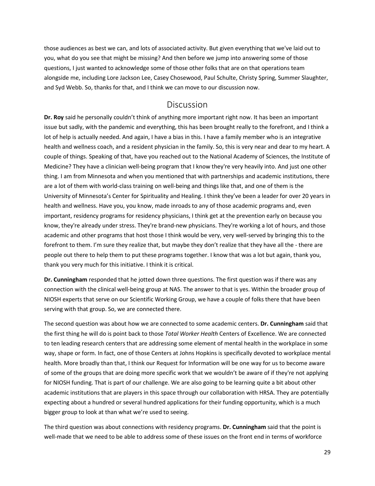those audiences as best we can, and lots of associated activity. But given everything that we've laid out to you, what do you see that might be missing? And then before we jump into answering some of those questions, I just wanted to acknowledge some of those other folks that are on that operations team alongside me, including Lore Jackson Lee, Casey Chosewood, Paul Schulte, Christy Spring, Summer Slaughter, and Syd Webb. So, thanks for that, and I think we can move to our discussion now.

#### **Discussion**

<span id="page-28-0"></span>**Dr. Roy** said he personally couldn't think of anything more important right now. It has been an important issue but sadly, with the pandemic and everything, this has been brought really to the forefront, and I think a lot of help is actually needed. And again, I have a bias in this. I have a family member who is an integrative health and wellness coach, and a resident physician in the family. So, this is very near and dear to my heart. A couple of things. Speaking of that, have you reached out to the National Academy of Sciences, the Institute of Medicine? They have a clinician well-being program that I know they're very heavily into. And just one other thing. I am from Minnesota and when you mentioned that with partnerships and academic institutions, there are a lot of them with world-class training on well-being and things like that, and one of them is the University of Minnesota's Center for Spirituality and Healing. I think they've been a leader for over 20 years in health and wellness. Have you, you know, made inroads to any of those academic programs and, even important, residency programs for residency physicians, I think get at the prevention early on because you know, they're already under stress. They're brand-new physicians. They're working a lot of hours, and those academic and other programs that host those I think would be very, very well-served by bringing this to the forefront to them. I'm sure they realize that, but maybe they don't realize that they have all the - there are people out there to help them to put these programs together. I know that was a lot but again, thank you, thank you very much for this initiative. I think it is critical.

**Dr. Cunningham** responded that he jotted down three questions. The first question was if there was any connection with the clinical well-being group at NAS. The answer to that is yes. Within the broader group of NIOSH experts that serve on our Scientific Working Group, we have a couple of folks there that have been serving with that group. So, we are connected there.

The second question was about how we are connected to some academic centers. **Dr. Cunningham** said that the first thing he will do is point back to those *Total Worker Health* Centers of Excellence. We are connected to ten leading research centers that are addressing some element of mental health in the workplace in some way, shape or form. In fact, one of those Centers at Johns Hopkins is specifically devoted to workplace mental health. More broadly than that, I think our Request for Information will be one way for us to become aware of some of the groups that are doing more specific work that we wouldn't be aware of if they're not applying for NIOSH funding. That is part of our challenge. We are also going to be learning quite a bit about other academic institutions that are players in this space through our collaboration with HRSA. They are potentially expecting about a hundred or several hundred applications for their funding opportunity, which is a much bigger group to look at than what we're used to seeing.

The third question was about connections with residency programs. **Dr. Cunningham** said that the point is well-made that we need to be able to address some of these issues on the front end in terms of workforce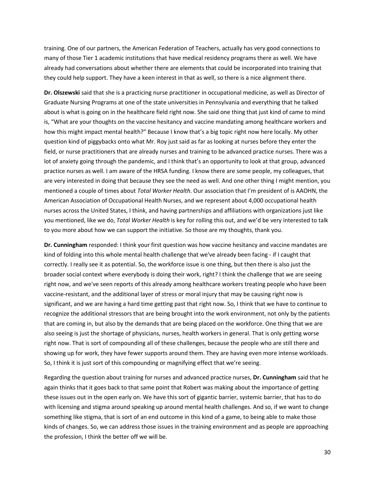training. One of our partners, the American Federation of Teachers, actually has very good connections to many of those Tier 1 academic institutions that have medical residency programs there as well. We have already had conversations about whether there are elements that could be incorporated into training that they could help support. They have a keen interest in that as well, so there is a nice alignment there.

**Dr. Olszewski** said that she is a practicing nurse practitioner in occupational medicine, as well as Director of Graduate Nursing Programs at one of the state universities in Pennsylvania and everything that he talked about is what is going on in the healthcare field right now. She said one thing that just kind of came to mind is, "What are your thoughts on the vaccine hesitancy and vaccine mandating among healthcare workers and how this might impact mental health?" Because I know that's a big topic right now here locally. My other question kind of piggybacks onto what Mr. Roy just said as far as looking at nurses before they enter the field, or nurse practitioners that are already nurses and training to be advanced practice nurses. There was a lot of anxiety going through the pandemic, and I think that's an opportunity to look at that group, advanced practice nurses as well. I am aware of the HRSA funding. I know there are some people, my colleagues, that are very interested in doing that because they see the need as well. And one other thing I might mention, you mentioned a couple of times about *Total Worker Health*. Our association that I'm president of is AAOHN, the American Association of Occupational Health Nurses, and we represent about 4,000 occupational health nurses across the United States, I think, and having partnerships and affiliations with organizations just like you mentioned, like we do, *Total Worker Health* is key for rolling this out, and we'd be very interested to talk to you more about how we can support the initiative. So those are my thoughts, thank you.

**Dr. Cunningham** responded: I think your first question was how vaccine hesitancy and vaccine mandates are kind of folding into this whole mental health challenge that we've already been facing - if I caught that correctly. I really see it as potential. So, the workforce issue is one thing, but then there is also just the broader social context where everybody is doing their work, right? I think the challenge that we are seeing right now, and we've seen reports of this already among healthcare workers treating people who have been vaccine-resistant, and the additional layer of stress or moral injury that may be causing right now is significant, and we are having a hard time getting past that right now. So, I think that we have to continue to recognize the additional stressors that are being brought into the work environment, not only by the patients that are coming in, but also by the demands that are being placed on the workforce. One thing that we are also seeing is just the shortage of physicians, nurses, health workers in general. That is only getting worse right now. That is sort of compounding all of these challenges, because the people who are still there and showing up for work, they have fewer supports around them. They are having even more intense workloads. So, I think it is just sort of this compounding or magnifying effect that we're seeing.

Regarding the question about training for nurses and advanced practice nurses, **Dr. Cunningham** said that he again thinks that it goes back to that same point that Robert was making about the importance of getting these issues out in the open early on. We have this sort of gigantic barrier, systemic barrier, that has to do with licensing and stigma around speaking up around mental health challenges. And so, if we want to change something like stigma, that is sort of an end outcome in this kind of a game, to being able to make those kinds of changes. So, we can address those issues in the training environment and as people are approaching the profession, I think the better off we will be.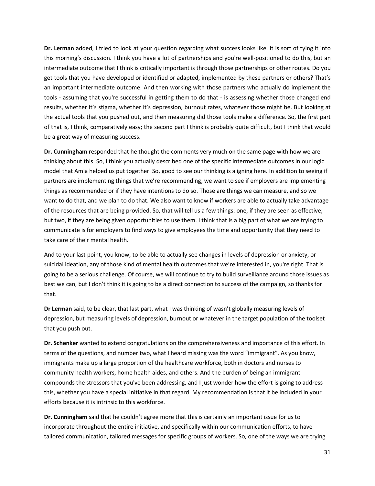**Dr. Lerman** added, I tried to look at your question regarding what success looks like. It is sort of tying it into this morning's discussion. I think you have a lot of partnerships and you're well-positioned to do this, but an intermediate outcome that I think is critically important is through those partnerships or other routes. Do you get tools that you have developed or identified or adapted, implemented by these partners or others? That's an important intermediate outcome. And then working with those partners who actually do implement the tools - assuming that you're successful in getting them to do that - is assessing whether those changed end results, whether it's stigma, whether it's depression, burnout rates, whatever those might be. But looking at the actual tools that you pushed out, and then measuring did those tools make a difference. So, the first part of that is, I think, comparatively easy; the second part I think is probably quite difficult, but I think that would be a great way of measuring success.

**Dr. Cunningham** responded that he thought the comments very much on the same page with how we are thinking about this. So, I think you actually described one of the specific intermediate outcomes in our logic model that Amia helped us put together. So, good to see our thinking is aligning here. In addition to seeing if partners are implementing things that we're recommending, we want to see if employers are implementing things as recommended or if they have intentions to do so. Those are things we can measure, and so we want to do that, and we plan to do that. We also want to know if workers are able to actually take advantage of the resources that are being provided. So, that will tell us a few things: one, if they are seen as effective; but two, if they are being given opportunities to use them. I think that is a big part of what we are trying to communicate is for employers to find ways to give employees the time and opportunity that they need to take care of their mental health.

And to your last point, you know, to be able to actually see changes in levels of depression or anxiety, or suicidal ideation, any of those kind of mental health outcomes that we're interested in, you're right. That is going to be a serious challenge. Of course, we will continue to try to build surveillance around those issues as best we can, but I don't think it is going to be a direct connection to success of the campaign, so thanks for that.

**Dr Lerman** said, to be clear, that last part, what I was thinking of wasn't globally measuring levels of depression, but measuring levels of depression, burnout or whatever in the target population of the toolset that you push out.

**Dr. Schenker** wanted to extend congratulations on the comprehensiveness and importance of this effort. In terms of the questions, and number two, what I heard missing was the word "immigrant". As you know, immigrants make up a large proportion of the healthcare workforce, both in doctors and nurses to community health workers, home health aides, and others. And the burden of being an immigrant compounds the stressors that you've been addressing, and I just wonder how the effort is going to address this, whether you have a special initiative in that regard. My recommendation is that it be included in your efforts because it is intrinsic to this workforce.

**Dr. Cunningham** said that he couldn't agree more that this is certainly an important issue for us to incorporate throughout the entire initiative, and specifically within our communication efforts, to have tailored communication, tailored messages for specific groups of workers. So, one of the ways we are trying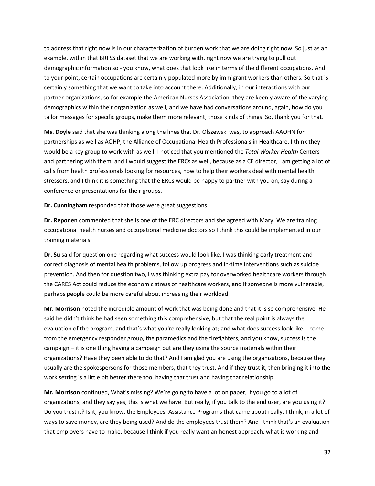to address that right now is in our characterization of burden work that we are doing right now. So just as an example, within that BRFSS dataset that we are working with, right now we are trying to pull out demographic information so - you know, what does that look like in terms of the different occupations. And to your point, certain occupations are certainly populated more by immigrant workers than others. So that is certainly something that we want to take into account there. Additionally, in our interactions with our partner organizations, so for example the American Nurses Association, they are keenly aware of the varying demographics within their organization as well, and we have had conversations around, again, how do you tailor messages for specific groups, make them more relevant, those kinds of things. So, thank you for that.

**Ms. Doyle** said that she was thinking along the lines that Dr. Olszewski was, to approach AAOHN for partnerships as well as AOHP, the Alliance of Occupational Health Professionals in Healthcare. I think they would be a key group to work with as well. I noticed that you mentioned the *Total Worker Health* Centers and partnering with them, and I would suggest the ERCs as well, because as a CE director, I am getting a lot of calls from health professionals looking for resources, how to help their workers deal with mental health stressors, and I think it is something that the ERCs would be happy to partner with you on, say during a conference or presentations for their groups.

**Dr. Cunningham** responded that those were great suggestions.

**Dr. Reponen** commented that she is one of the ERC directors and she agreed with Mary. We are training occupational health nurses and occupational medicine doctors so I think this could be implemented in our training materials.

**Dr. Su** said for question one regarding what success would look like, I was thinking early treatment and correct diagnosis of mental health problems, follow up progress and in-time interventions such as suicide prevention. And then for question two, I was thinking extra pay for overworked healthcare workers through the CARES Act could reduce the economic stress of healthcare workers, and if someone is more vulnerable, perhaps people could be more careful about increasing their workload.

**Mr. Morrison** noted the incredible amount of work that was being done and that it is so comprehensive. He said he didn't think he had seen something this comprehensive, but that the real point is always the evaluation of the program, and that's what you're really looking at; and what does success look like. I come from the emergency responder group, the paramedics and the firefighters, and you know, success is the campaign – it is one thing having a campaign but are they using the source materials within their organizations? Have they been able to do that? And I am glad you are using the organizations, because they usually are the spokespersons for those members, that they trust. And if they trust it, then bringing it into the work setting is a little bit better there too, having that trust and having that relationship.

**Mr. Morrison** continued, What's missing? We're going to have a lot on paper, if you go to a lot of organizations, and they say yes, this is what we have. But really, if you talk to the end user, are you using it? Do you trust it? Is it, you know, the Employees' Assistance Programs that came about really, I think, in a lot of ways to save money, are they being used? And do the employees trust them? And I think that's an evaluation that employers have to make, because I think if you really want an honest approach, what is working and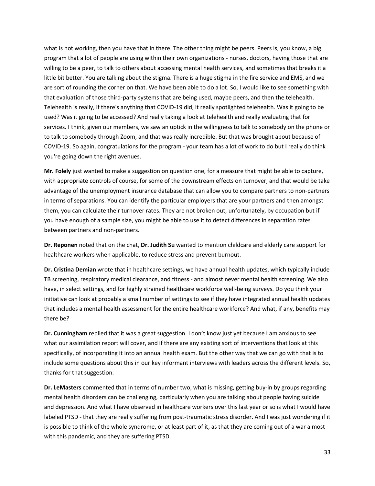what is not working, then you have that in there. The other thing might be peers. Peers is, you know, a big program that a lot of people are using within their own organizations - nurses, doctors, having those that are willing to be a peer, to talk to others about accessing mental health services, and sometimes that breaks it a little bit better. You are talking about the stigma. There is a huge stigma in the fire service and EMS, and we are sort of rounding the corner on that. We have been able to do a lot. So, I would like to see something with that evaluation of those third-party systems that are being used, maybe peers, and then the telehealth. Telehealth is really, if there's anything that COVID-19 did, it really spotlighted telehealth. Was it going to be used? Was it going to be accessed? And really taking a look at telehealth and really evaluating that for services. I think, given our members, we saw an uptick in the willingness to talk to somebody on the phone or to talk to somebody through Zoom, and that was really incredible. But that was brought about because of COVID-19. So again, congratulations for the program - your team has a lot of work to do but I really do think you're going down the right avenues.

**Mr. Folely** just wanted to make a suggestion on question one, for a measure that might be able to capture, with appropriate controls of course, for some of the downstream effects on turnover, and that would be take advantage of the unemployment insurance database that can allow you to compare partners to non-partners in terms of separations. You can identify the particular employers that are your partners and then amongst them, you can calculate their turnover rates. They are not broken out, unfortunately, by occupation but if you have enough of a sample size, you might be able to use it to detect differences in separation rates between partners and non-partners.

**Dr. Reponen** noted that on the chat, **Dr. Judith Su** wanted to mention childcare and elderly care support for healthcare workers when applicable, to reduce stress and prevent burnout.

**Dr. Cristina Demian** wrote that in healthcare settings, we have annual health updates, which typically include TB screening, respiratory medical clearance, and fitness - and almost never mental health screening. We also have, in select settings, and for highly strained healthcare workforce well-being surveys. Do you think your initiative can look at probably a small number of settings to see if they have integrated annual health updates that includes a mental health assessment for the entire healthcare workforce? And what, if any, benefits may there be?

**Dr. Cunningham** replied that it was a great suggestion. I don't know just yet because I am anxious to see what our assimilation report will cover, and if there are any existing sort of interventions that look at this specifically, of incorporating it into an annual health exam. But the other way that we can go with that is to include some questions about this in our key informant interviews with leaders across the different levels. So, thanks for that suggestion.

**Dr. LeMasters** commented that in terms of number two, what is missing, getting buy-in by groups regarding mental health disorders can be challenging, particularly when you are talking about people having suicide and depression. And what I have observed in healthcare workers over this last year or so is what I would have labeled PTSD - that they are really suffering from post-traumatic stress disorder. And I was just wondering if it is possible to think of the whole syndrome, or at least part of it, as that they are coming out of a war almost with this pandemic, and they are suffering PTSD.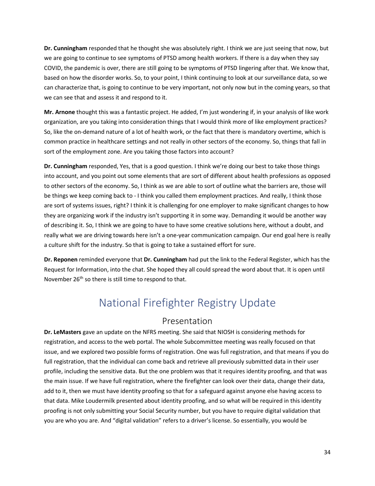**Dr. Cunningham** responded that he thought she was absolutely right. I think we are just seeing that now, but we are going to continue to see symptoms of PTSD among health workers. If there is a day when they say COVID, the pandemic is over, there are still going to be symptoms of PTSD lingering after that. We know that, based on how the disorder works. So, to your point, I think continuing to look at our surveillance data, so we can characterize that, is going to continue to be very important, not only now but in the coming years, so that we can see that and assess it and respond to it.

**Mr. Arnone** thought this was a fantastic project. He added, I'm just wondering if, in your analysis of like work organization, are you taking into consideration things that I would think more of like employment practices? So, like the on-demand nature of a lot of health work, or the fact that there is mandatory overtime, which is common practice in healthcare settings and not really in other sectors of the economy. So, things that fall in sort of the employment zone. Are you taking those factors into account?

**Dr. Cunningham** responded, Yes, that is a good question. I think we're doing our best to take those things into account, and you point out some elements that are sort of different about health professions as opposed to other sectors of the economy. So, I think as we are able to sort of outline what the barriers are, those will be things we keep coming back to - I think you called them employment practices. And really, I think those are sort of systems issues, right? I think it is challenging for one employer to make significant changes to how they are organizing work if the industry isn't supporting it in some way. Demanding it would be another way of describing it. So, I think we are going to have to have some creative solutions here, without a doubt, and really what we are driving towards here isn't a one-year communication campaign. Our end goal here is really a culture shift for the industry. So that is going to take a sustained effort for sure.

<span id="page-33-0"></span>**Dr. Reponen** reminded everyone that **Dr. Cunningham** had put the link to the Federal Register, which has the Request for Information, into the chat. She hoped they all could spread the word about that. It is open until November 26<sup>th</sup> so there is still time to respond to that.

### National Firefighter Registry Update

#### Presentation

<span id="page-33-1"></span>**Dr. LeMasters** gave an update on the NFRS meeting. She said that NIOSH is considering methods for registration, and access to the web portal. The whole Subcommittee meeting was really focused on that issue, and we explored two possible forms of registration. One was full registration, and that means if you do full registration, that the individual can come back and retrieve all previously submitted data in their user profile, including the sensitive data. But the one problem was that it requires identity proofing, and that was the main issue. If we have full registration, where the firefighter can look over their data, change their data, add to it, then we must have identity proofing so that for a safeguard against anyone else having access to that data. Mike Loudermilk presented about identity proofing, and so what will be required in this identity proofing is not only submitting your Social Security number, but you have to require digital validation that you are who you are. And "digital validation" refers to a driver's license. So essentially, you would be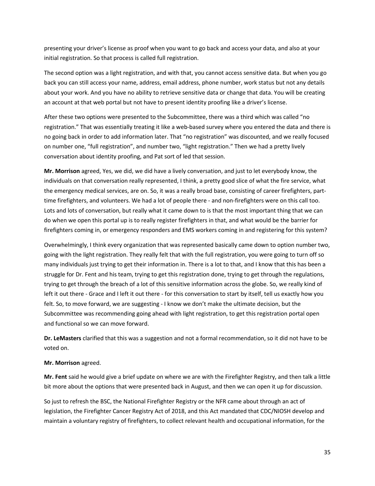presenting your driver's license as proof when you want to go back and access your data, and also at your initial registration. So that process is called full registration.

The second option was a light registration, and with that, you cannot access sensitive data. But when you go back you can still access your name, address, email address, phone number, work status but not any details about your work. And you have no ability to retrieve sensitive data or change that data. You will be creating an account at that web portal but not have to present identity proofing like a driver's license.

After these two options were presented to the Subcommittee, there was a third which was called "no registration." That was essentially treating it like a web-based survey where you entered the data and there is no going back in order to add information later. That "no registration" was discounted, and we really focused on number one, "full registration", and number two, "light registration." Then we had a pretty lively conversation about identity proofing, and Pat sort of led that session.

**Mr. Morrison** agreed, Yes, we did, we did have a lively conversation, and just to let everybody know, the individuals on that conversation really represented, I think, a pretty good slice of what the fire service, what the emergency medical services, are on. So, it was a really broad base, consisting of career firefighters, parttime firefighters, and volunteers. We had a lot of people there - and non-firefighters were on this call too. Lots and lots of conversation, but really what it came down to is that the most important thing that we can do when we open this portal up is to really register firefighters in that, and what would be the barrier for firefighters coming in, or emergency responders and EMS workers coming in and registering for this system?

Overwhelmingly, I think every organization that was represented basically came down to option number two, going with the light registration. They really felt that with the full registration, you were going to turn off so many individuals just trying to get their information in. There is a lot to that, and I know that this has been a struggle for Dr. Fent and his team, trying to get this registration done, trying to get through the regulations, trying to get through the breach of a lot of this sensitive information across the globe. So, we really kind of left it out there - Grace and I left it out there - for this conversation to start by itself, tell us exactly how you felt. So, to move forward, we are suggesting - I know we don't make the ultimate decision, but the Subcommittee was recommending going ahead with light registration, to get this registration portal open and functional so we can move forward.

**Dr. LeMasters** clarified that this was a suggestion and not a formal recommendation, so it did not have to be voted on.

#### **Mr. Morrison** agreed.

**Mr. Fent** said he would give a brief update on where we are with the Firefighter Registry, and then talk a little bit more about the options that were presented back in August, and then we can open it up for discussion.

So just to refresh the BSC, the National Firefighter Registry or the NFR came about through an act of legislation, the Firefighter Cancer Registry Act of 2018, and this Act mandated that CDC/NIOSH develop and maintain a voluntary registry of firefighters, to collect relevant health and occupational information, for the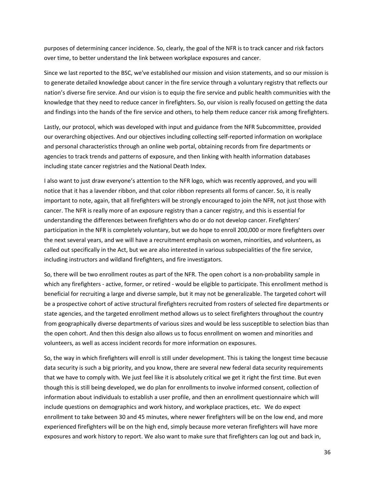purposes of determining cancer incidence. So, clearly, the goal of the NFR is to track cancer and risk factors over time, to better understand the link between workplace exposures and cancer.

Since we last reported to the BSC, we've established our mission and vision statements, and so our mission is to generate detailed knowledge about cancer in the fire service through a voluntary registry that reflects our nation's diverse fire service. And our vision is to equip the fire service and public health communities with the knowledge that they need to reduce cancer in firefighters. So, our vision is really focused on getting the data and findings into the hands of the fire service and others, to help them reduce cancer risk among firefighters.

Lastly, our protocol, which was developed with input and guidance from the NFR Subcommittee, provided our overarching objectives. And our objectives including collecting self-reported information on workplace and personal characteristics through an online web portal, obtaining records from fire departments or agencies to track trends and patterns of exposure, and then linking with health information databases including state cancer registries and the National Death Index.

I also want to just draw everyone's attention to the NFR logo, which was recently approved, and you will notice that it has a lavender ribbon, and that color ribbon represents all forms of cancer. So, it is really important to note, again, that all firefighters will be strongly encouraged to join the NFR, not just those with cancer. The NFR is really more of an exposure registry than a cancer registry, and this is essential for understanding the differences between firefighters who do or do not develop cancer. Firefighters' participation in the NFR is completely voluntary, but we do hope to enroll 200,000 or more firefighters over the next several years, and we will have a recruitment emphasis on women, minorities, and volunteers, as called out specifically in the Act, but we are also interested in various subspecialities of the fire service, including instructors and wildland firefighters, and fire investigators.

So, there will be two enrollment routes as part of the NFR. The open cohort is a non-probability sample in which any firefighters - active, former, or retired - would be eligible to participate. This enrollment method is beneficial for recruiting a large and diverse sample, but it may not be generalizable. The targeted cohort will be a prospective cohort of active structural firefighters recruited from rosters of selected fire departments or state agencies, and the targeted enrollment method allows us to select firefighters throughout the country from geographically diverse departments of various sizes and would be less susceptible to selection bias than the open cohort. And then this design also allows us to focus enrollment on women and minorities and volunteers, as well as access incident records for more information on exposures.

So, the way in which firefighters will enroll is still under development. This is taking the longest time because data security is such a big priority, and you know, there are several new federal data security requirements that we have to comply with. We just feel like it is absolutely critical we get it right the first time. But even though this is still being developed, we do plan for enrollments to involve informed consent, collection of information about individuals to establish a user profile, and then an enrollment questionnaire which will include questions on demographics and work history, and workplace practices, etc. We do expect enrollment to take between 30 and 45 minutes, where newer firefighters will be on the low end, and more experienced firefighters will be on the high end, simply because more veteran firefighters will have more exposures and work history to report. We also want to make sure that firefighters can log out and back in,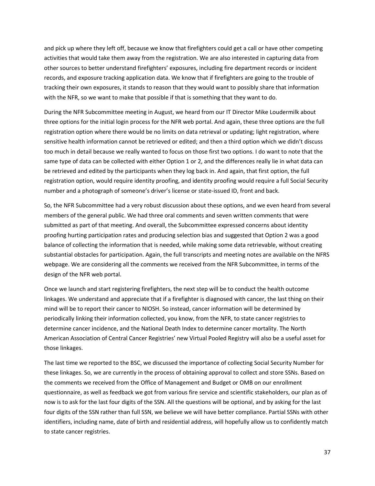and pick up where they left off, because we know that firefighters could get a call or have other competing activities that would take them away from the registration. We are also interested in capturing data from other sources to better understand firefighters' exposures, including fire department records or incident records, and exposure tracking application data. We know that if firefighters are going to the trouble of tracking their own exposures, it stands to reason that they would want to possibly share that information with the NFR, so we want to make that possible if that is something that they want to do.

During the NFR Subcommittee meeting in August, we heard from our IT Director Mike Loudermilk about three options for the initial login process for the NFR web portal. And again, these three options are the full registration option where there would be no limits on data retrieval or updating; light registration, where sensitive health information cannot be retrieved or edited; and then a third option which we didn't discuss too much in detail because we really wanted to focus on those first two options. I do want to note that the same type of data can be collected with either Option 1 or 2, and the differences really lie in what data can be retrieved and edited by the participants when they log back in. And again, that first option, the full registration option, would require identity proofing, and identity proofing would require a full Social Security number and a photograph of someone's driver's license or state-issued ID, front and back.

So, the NFR Subcommittee had a very robust discussion about these options, and we even heard from several members of the general public. We had three oral comments and seven written comments that were submitted as part of that meeting. And overall, the Subcommittee expressed concerns about identity proofing hurting participation rates and producing selection bias and suggested that Option 2 was a good balance of collecting the information that is needed, while making some data retrievable, without creating substantial obstacles for participation. Again, the full transcripts and meeting notes are available on the NFRS webpage. We are considering all the comments we received from the NFR Subcommittee, in terms of the design of the NFR web portal.

Once we launch and start registering firefighters, the next step will be to conduct the health outcome linkages. We understand and appreciate that if a firefighter is diagnosed with cancer, the last thing on their mind will be to report their cancer to NIOSH. So instead, cancer information will be determined by periodically linking their information collected, you know, from the NFR, to state cancer registries to determine cancer incidence, and the National Death Index to determine cancer mortality. The North American Association of Central Cancer Registries' new Virtual Pooled Registry will also be a useful asset for those linkages.

The last time we reported to the BSC, we discussed the importance of collecting Social Security Number for these linkages. So, we are currently in the process of obtaining approval to collect and store SSNs. Based on the comments we received from the Office of Management and Budget or OMB on our enrollment questionnaire, as well as feedback we got from various fire service and scientific stakeholders, our plan as of now is to ask for the last four digits of the SSN. All the questions will be optional, and by asking for the last four digits of the SSN rather than full SSN, we believe we will have better compliance. Partial SSNs with other identifiers, including name, date of birth and residential address, will hopefully allow us to confidently match to state cancer registries.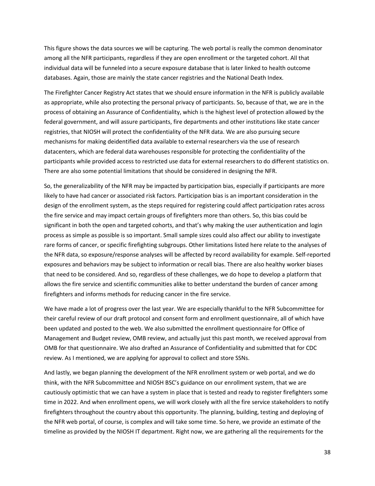This figure shows the data sources we will be capturing. The web portal is really the common denominator among all the NFR participants, regardless if they are open enrollment or the targeted cohort. All that individual data will be funneled into a secure exposure database that is later linked to health outcome databases. Again, those are mainly the state cancer registries and the National Death Index.

The Firefighter Cancer Registry Act states that we should ensure information in the NFR is publicly available as appropriate, while also protecting the personal privacy of participants. So, because of that, we are in the process of obtaining an Assurance of Confidentiality, which is the highest level of protection allowed by the federal government, and will assure participants, fire departments and other institutions like state cancer registries, that NIOSH will protect the confidentiality of the NFR data. We are also pursuing secure mechanisms for making deidentified data available to external researchers via the use of research datacenters, which are federal data warehouses responsible for protecting the confidentiality of the participants while provided access to restricted use data for external researchers to do different statistics on. There are also some potential limitations that should be considered in designing the NFR.

So, the generalizability of the NFR may be impacted by participation bias, especially if participants are more likely to have had cancer or associated risk factors. Participation bias is an important consideration in the design of the enrollment system, as the steps required for registering could affect participation rates across the fire service and may impact certain groups of firefighters more than others. So, this bias could be significant in both the open and targeted cohorts, and that's why making the user authentication and login process as simple as possible is so important. Small sample sizes could also affect our ability to investigate rare forms of cancer, or specific firefighting subgroups. Other limitations listed here relate to the analyses of the NFR data, so exposure/response analyses will be affected by record availability for example. Self-reported exposures and behaviors may be subject to information or recall bias. There are also healthy worker biases that need to be considered. And so, regardless of these challenges, we do hope to develop a platform that allows the fire service and scientific communities alike to better understand the burden of cancer among firefighters and informs methods for reducing cancer in the fire service.

We have made a lot of progress over the last year. We are especially thankful to the NFR Subcommittee for their careful review of our draft protocol and consent form and enrollment questionnaire, all of which have been updated and posted to the web. We also submitted the enrollment questionnaire for Office of Management and Budget review, OMB review, and actually just this past month, we received approval from OMB for that questionnaire. We also drafted an Assurance of Confidentiality and submitted that for CDC review. As I mentioned, we are applying for approval to collect and store SSNs.

And lastly, we began planning the development of the NFR enrollment system or web portal, and we do think, with the NFR Subcommittee and NIOSH BSC's guidance on our enrollment system, that we are cautiously optimistic that we can have a system in place that is tested and ready to register firefighters some time in 2022. And when enrollment opens, we will work closely with all the fire service stakeholders to notify firefighters throughout the country about this opportunity. The planning, building, testing and deploying of the NFR web portal, of course, is complex and will take some time. So here, we provide an estimate of the timeline as provided by the NIOSH IT department. Right now, we are gathering all the requirements for the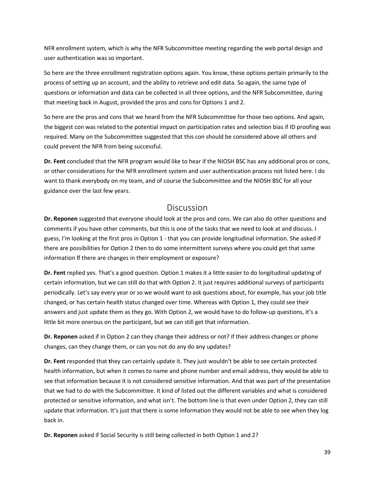NFR enrollment system, which is why the NFR Subcommittee meeting regarding the web portal design and user authentication was so important.

So here are the three enrollment registration options again. You know, these options pertain primarily to the process of setting up an account, and the ability to retrieve and edit data. So again, the same type of questions or information and data can be collected in all three options, and the NFR Subcommittee, during that meeting back in August, provided the pros and cons for Options 1 and 2.

So here are the pros and cons that we heard from the NFR Subcommittee for those two options. And again, the biggest con was related to the potential impact on participation rates and selection bias if ID proofing was required. Many on the Subcommittee suggested that this con should be considered above all others and could prevent the NFR from being successful.

**Dr. Fent** concluded that the NFR program would like to hear if the NIOSH BSC has any additional pros or cons, or other considerations for the NFR enrollment system and user authentication process not listed here. I do want to thank everybody on my team, and of course the Subcommittee and the NIOSH BSC for all your guidance over the last few years.

#### Discussion

<span id="page-38-0"></span>**Dr. Reponen** suggested that everyone should look at the pros and cons. We can also do other questions and comments if you have other comments, but this is one of the tasks that we need to look at and discuss. I guess, I'm looking at the first pros in Option 1 - that you can provide longitudinal information. She asked if there are possibilities for Option 2 then to do some intermittent surveys where you could get that same information If there are changes in their employment or exposure?

**Dr. Fent** replied yes. That's a good question. Option 1 makes it a little easier to do longitudinal updating of certain information, but we can still do that with Option 2. It just requires additional surveys of participants periodically. Let's say every year or so we would want to ask questions about, for example, has your job title changed, or has certain health status changed over time. Whereas with Option 1, they could see their answers and just update them as they go. With Option 2, we would have to do follow-up questions, it's a little bit more onerous on the participant, but we can still get that information.

**Dr. Reponen** asked if in Option 2 can they change their address or not? if their address changes or phone changes, can they change them, or can you not do any do any updates?

**Dr. Fent** responded that **t**hey can certainly update it. They just wouldn't be able to see certain protected health information, but when it comes to name and phone number and email address, they would be able to see that information because it is not considered sensitive information. And that was part of the presentation that we had to do with the Subcommittee. It kind of listed out the different variables and what is considered protected or sensitive information, and what isn't. The bottom line is that even under Option 2, they can still update that information. It's just that there is some information they would not be able to see when they log back in.

**Dr. Reponen** asked if Social Security is still being collected in both Option 1 and 2?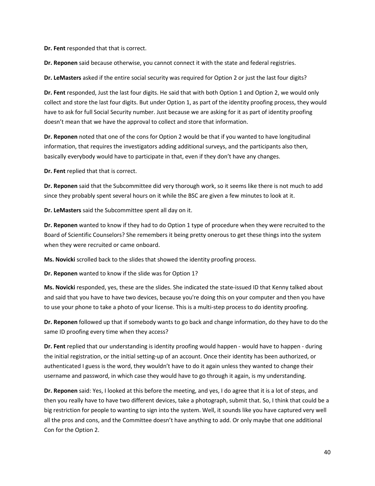**Dr. Fent** responded that that is correct.

**Dr. Reponen** said because otherwise, you cannot connect it with the state and federal registries.

**Dr. LeMasters** asked if the entire social security was required for Option 2 or just the last four digits?

**Dr. Fent** responded, Just the last four digits. He said that with both Option 1 and Option 2, we would only collect and store the last four digits. But under Option 1, as part of the identity proofing process, they would have to ask for full Social Security number. Just because we are asking for it as part of identity proofing doesn't mean that we have the approval to collect and store that information.

**Dr. Reponen** noted that one of the cons for Option 2 would be that if you wanted to have longitudinal information, that requires the investigators adding additional surveys, and the participants also then, basically everybody would have to participate in that, even if they don't have any changes.

**Dr. Fent** replied that that is correct.

**Dr. Reponen** said that the Subcommittee did very thorough work, so it seems like there is not much to add since they probably spent several hours on it while the BSC are given a few minutes to look at it.

**Dr. LeMasters** said the Subcommittee spent all day on it.

**Dr. Reponen** wanted to know if they had to do Option 1 type of procedure when they were recruited to the Board of Scientific Counselors? She remembers it being pretty onerous to get these things into the system when they were recruited or came onboard.

**Ms. Novicki** scrolled back to the slides that showed the identity proofing process.

**Dr. Reponen** wanted to know if the slide was for Option 1?

**Ms. Novicki** responded, yes, these are the slides. She indicated the state-issued ID that Kenny talked about and said that you have to have two devices, because you're doing this on your computer and then you have to use your phone to take a photo of your license. This is a multi-step process to do identity proofing.

**Dr. Reponen** followed up that if somebody wants to go back and change information, do they have to do the same ID proofing every time when they access?

**Dr. Fent** replied that our understanding is identity proofing would happen - would have to happen - during the initial registration, or the initial setting-up of an account. Once their identity has been authorized, or authenticated I guess is the word, they wouldn't have to do it again unless they wanted to change their username and password, in which case they would have to go through it again, is my understanding.

**Dr. Reponen** said: Yes, I looked at this before the meeting, and yes, I do agree that it is a lot of steps, and then you really have to have two different devices, take a photograph, submit that. So, I think that could be a big restriction for people to wanting to sign into the system. Well, it sounds like you have captured very well all the pros and cons, and the Committee doesn't have anything to add. Or only maybe that one additional Con for the Option 2.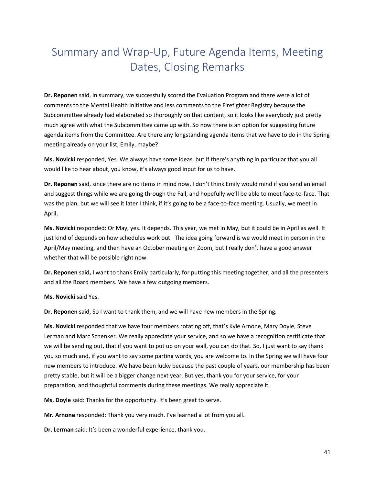# <span id="page-40-0"></span>Summary and Wrap-Up, Future Agenda Items, Meeting Dates, Closing Remarks

**Dr. Reponen** said, in summary, we successfully scored the Evaluation Program and there were a lot of comments to the Mental Health Initiative and less comments to the Firefighter Registry because the Subcommittee already had elaborated so thoroughly on that content, so it looks like everybody just pretty much agree with what the Subcommittee came up with. So now there is an option for suggesting future agenda items from the Committee. Are there any longstanding agenda items that we have to do in the Spring meeting already on your list, Emily, maybe?

**Ms. Novicki** responded, Yes. We always have some ideas, but if there's anything in particular that you all would like to hear about, you know, it's always good input for us to have.

**Dr. Reponen** said, since there are no items in mind now, I don't think Emily would mind if you send an email and suggest things while we are going through the Fall, and hopefully we'll be able to meet face-to-face. That was the plan, but we will see it later I think, if it's going to be a face-to-face meeting. Usually, we meet in April.

**Ms. Novicki** responded: Or May, yes. It depends. This year, we met in May, but it could be in April as well. It just kind of depends on how schedules work out. The idea going forward is we would meet in person in the April/May meeting, and then have an October meeting on Zoom, but I really don't have a good answer whether that will be possible right now.

**Dr. Reponen** said**,** I want to thank Emily particularly, for putting this meeting together, and all the presenters and all the Board members. We have a few outgoing members.

**Ms. Novicki** said Yes.

**Dr. Reponen** said, So I want to thank them, and we will have new members in the Spring.

**Ms. Novicki** responded that we have four members rotating off, that's Kyle Arnone, Mary Doyle, Steve Lerman and Marc Schenker. We really appreciate your service, and so we have a recognition certificate that we will be sending out, that if you want to put up on your wall, you can do that. So, I just want to say thank you so much and, if you want to say some parting words, you are welcome to. In the Spring we will have four new members to introduce. We have been lucky because the past couple of years, our membership has been pretty stable, but it will be a bigger change next year. But yes, thank you for your service, for your preparation, and thoughtful comments during these meetings. We really appreciate it.

**Ms. Doyle** said: Thanks for the opportunity. It's been great to serve.

**Mr. Arnone** responded: Thank you very much. I've learned a lot from you all.

**Dr. Lerman** said: It's been a wonderful experience, thank you.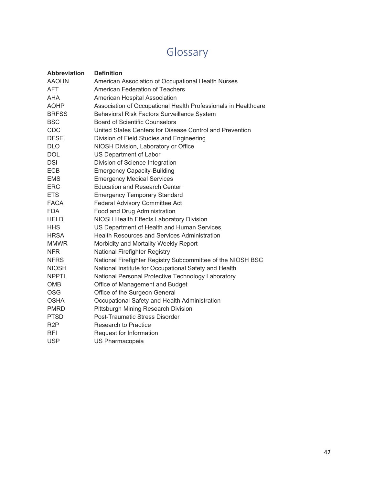# Glossary

| <b>AAOHN</b><br>American Association of Occupational Health Nurses<br>American Federation of Teachers<br>AFT<br><b>AHA</b><br>American Hospital Association<br><b>AOHP</b><br>Association of Occupational Health Professionals in Healthcare<br><b>BRFSS</b><br>Behavioral Risk Factors Surveillance System<br><b>BSC</b><br><b>Board of Scientific Counselors</b><br>CDC<br>United States Centers for Disease Control and Prevention<br><b>DFSE</b><br>Division of Field Studies and Engineering<br><b>DLO</b><br>NIOSH Division, Laboratory or Office<br><b>DOL</b><br>US Department of Labor<br><b>DSI</b><br>Division of Science Integration<br>ECB<br><b>Emergency Capacity-Building</b><br><b>Emergency Medical Services</b><br><b>EMS</b><br><b>ERC</b><br><b>Education and Research Center</b><br><b>ETS</b><br><b>Emergency Temporary Standard</b><br><b>FACA</b><br>Federal Advisory Committee Act<br><b>FDA</b><br>Food and Drug Administration<br><b>HELD</b><br>NIOSH Health Effects Laboratory Division<br><b>HHS</b><br>US Department of Health and Human Services<br><b>Health Resources and Services Administration</b><br><b>HRSA</b><br><b>MMWR</b><br>Morbidity and Mortality Weekly Report<br>National Firefighter Registry<br><b>NFR</b><br><b>NFRS</b><br>National Firefighter Registry Subcommittee of the NIOSH BSC<br><b>NIOSH</b><br>National Institute for Occupational Safety and Health<br><b>NPPTL</b><br>National Personal Protective Technology Laboratory<br><b>OMB</b><br>Office of Management and Budget<br><b>OSG</b><br>Office of the Surgeon General<br><b>OSHA</b><br>Occupational Safety and Health Administration<br><b>PMRD</b><br>Pittsburgh Mining Research Division<br>Post-Traumatic Stress Disorder<br><b>PTSD</b><br>R <sub>2</sub> P<br><b>Research to Practice</b> | <b>Abbreviation</b> | <b>Definition</b>       |
|-----------------------------------------------------------------------------------------------------------------------------------------------------------------------------------------------------------------------------------------------------------------------------------------------------------------------------------------------------------------------------------------------------------------------------------------------------------------------------------------------------------------------------------------------------------------------------------------------------------------------------------------------------------------------------------------------------------------------------------------------------------------------------------------------------------------------------------------------------------------------------------------------------------------------------------------------------------------------------------------------------------------------------------------------------------------------------------------------------------------------------------------------------------------------------------------------------------------------------------------------------------------------------------------------------------------------------------------------------------------------------------------------------------------------------------------------------------------------------------------------------------------------------------------------------------------------------------------------------------------------------------------------------------------------------------------------------------------------------------------------------------------------------------------------------------------------|---------------------|-------------------------|
|                                                                                                                                                                                                                                                                                                                                                                                                                                                                                                                                                                                                                                                                                                                                                                                                                                                                                                                                                                                                                                                                                                                                                                                                                                                                                                                                                                                                                                                                                                                                                                                                                                                                                                                                                                                                                       |                     |                         |
|                                                                                                                                                                                                                                                                                                                                                                                                                                                                                                                                                                                                                                                                                                                                                                                                                                                                                                                                                                                                                                                                                                                                                                                                                                                                                                                                                                                                                                                                                                                                                                                                                                                                                                                                                                                                                       |                     |                         |
|                                                                                                                                                                                                                                                                                                                                                                                                                                                                                                                                                                                                                                                                                                                                                                                                                                                                                                                                                                                                                                                                                                                                                                                                                                                                                                                                                                                                                                                                                                                                                                                                                                                                                                                                                                                                                       |                     |                         |
|                                                                                                                                                                                                                                                                                                                                                                                                                                                                                                                                                                                                                                                                                                                                                                                                                                                                                                                                                                                                                                                                                                                                                                                                                                                                                                                                                                                                                                                                                                                                                                                                                                                                                                                                                                                                                       |                     |                         |
|                                                                                                                                                                                                                                                                                                                                                                                                                                                                                                                                                                                                                                                                                                                                                                                                                                                                                                                                                                                                                                                                                                                                                                                                                                                                                                                                                                                                                                                                                                                                                                                                                                                                                                                                                                                                                       |                     |                         |
|                                                                                                                                                                                                                                                                                                                                                                                                                                                                                                                                                                                                                                                                                                                                                                                                                                                                                                                                                                                                                                                                                                                                                                                                                                                                                                                                                                                                                                                                                                                                                                                                                                                                                                                                                                                                                       |                     |                         |
|                                                                                                                                                                                                                                                                                                                                                                                                                                                                                                                                                                                                                                                                                                                                                                                                                                                                                                                                                                                                                                                                                                                                                                                                                                                                                                                                                                                                                                                                                                                                                                                                                                                                                                                                                                                                                       |                     |                         |
|                                                                                                                                                                                                                                                                                                                                                                                                                                                                                                                                                                                                                                                                                                                                                                                                                                                                                                                                                                                                                                                                                                                                                                                                                                                                                                                                                                                                                                                                                                                                                                                                                                                                                                                                                                                                                       |                     |                         |
|                                                                                                                                                                                                                                                                                                                                                                                                                                                                                                                                                                                                                                                                                                                                                                                                                                                                                                                                                                                                                                                                                                                                                                                                                                                                                                                                                                                                                                                                                                                                                                                                                                                                                                                                                                                                                       |                     |                         |
|                                                                                                                                                                                                                                                                                                                                                                                                                                                                                                                                                                                                                                                                                                                                                                                                                                                                                                                                                                                                                                                                                                                                                                                                                                                                                                                                                                                                                                                                                                                                                                                                                                                                                                                                                                                                                       |                     |                         |
|                                                                                                                                                                                                                                                                                                                                                                                                                                                                                                                                                                                                                                                                                                                                                                                                                                                                                                                                                                                                                                                                                                                                                                                                                                                                                                                                                                                                                                                                                                                                                                                                                                                                                                                                                                                                                       |                     |                         |
|                                                                                                                                                                                                                                                                                                                                                                                                                                                                                                                                                                                                                                                                                                                                                                                                                                                                                                                                                                                                                                                                                                                                                                                                                                                                                                                                                                                                                                                                                                                                                                                                                                                                                                                                                                                                                       |                     |                         |
|                                                                                                                                                                                                                                                                                                                                                                                                                                                                                                                                                                                                                                                                                                                                                                                                                                                                                                                                                                                                                                                                                                                                                                                                                                                                                                                                                                                                                                                                                                                                                                                                                                                                                                                                                                                                                       |                     |                         |
|                                                                                                                                                                                                                                                                                                                                                                                                                                                                                                                                                                                                                                                                                                                                                                                                                                                                                                                                                                                                                                                                                                                                                                                                                                                                                                                                                                                                                                                                                                                                                                                                                                                                                                                                                                                                                       |                     |                         |
|                                                                                                                                                                                                                                                                                                                                                                                                                                                                                                                                                                                                                                                                                                                                                                                                                                                                                                                                                                                                                                                                                                                                                                                                                                                                                                                                                                                                                                                                                                                                                                                                                                                                                                                                                                                                                       |                     |                         |
|                                                                                                                                                                                                                                                                                                                                                                                                                                                                                                                                                                                                                                                                                                                                                                                                                                                                                                                                                                                                                                                                                                                                                                                                                                                                                                                                                                                                                                                                                                                                                                                                                                                                                                                                                                                                                       |                     |                         |
|                                                                                                                                                                                                                                                                                                                                                                                                                                                                                                                                                                                                                                                                                                                                                                                                                                                                                                                                                                                                                                                                                                                                                                                                                                                                                                                                                                                                                                                                                                                                                                                                                                                                                                                                                                                                                       |                     |                         |
|                                                                                                                                                                                                                                                                                                                                                                                                                                                                                                                                                                                                                                                                                                                                                                                                                                                                                                                                                                                                                                                                                                                                                                                                                                                                                                                                                                                                                                                                                                                                                                                                                                                                                                                                                                                                                       |                     |                         |
|                                                                                                                                                                                                                                                                                                                                                                                                                                                                                                                                                                                                                                                                                                                                                                                                                                                                                                                                                                                                                                                                                                                                                                                                                                                                                                                                                                                                                                                                                                                                                                                                                                                                                                                                                                                                                       |                     |                         |
|                                                                                                                                                                                                                                                                                                                                                                                                                                                                                                                                                                                                                                                                                                                                                                                                                                                                                                                                                                                                                                                                                                                                                                                                                                                                                                                                                                                                                                                                                                                                                                                                                                                                                                                                                                                                                       |                     |                         |
|                                                                                                                                                                                                                                                                                                                                                                                                                                                                                                                                                                                                                                                                                                                                                                                                                                                                                                                                                                                                                                                                                                                                                                                                                                                                                                                                                                                                                                                                                                                                                                                                                                                                                                                                                                                                                       |                     |                         |
|                                                                                                                                                                                                                                                                                                                                                                                                                                                                                                                                                                                                                                                                                                                                                                                                                                                                                                                                                                                                                                                                                                                                                                                                                                                                                                                                                                                                                                                                                                                                                                                                                                                                                                                                                                                                                       |                     |                         |
|                                                                                                                                                                                                                                                                                                                                                                                                                                                                                                                                                                                                                                                                                                                                                                                                                                                                                                                                                                                                                                                                                                                                                                                                                                                                                                                                                                                                                                                                                                                                                                                                                                                                                                                                                                                                                       |                     |                         |
|                                                                                                                                                                                                                                                                                                                                                                                                                                                                                                                                                                                                                                                                                                                                                                                                                                                                                                                                                                                                                                                                                                                                                                                                                                                                                                                                                                                                                                                                                                                                                                                                                                                                                                                                                                                                                       |                     |                         |
|                                                                                                                                                                                                                                                                                                                                                                                                                                                                                                                                                                                                                                                                                                                                                                                                                                                                                                                                                                                                                                                                                                                                                                                                                                                                                                                                                                                                                                                                                                                                                                                                                                                                                                                                                                                                                       |                     |                         |
|                                                                                                                                                                                                                                                                                                                                                                                                                                                                                                                                                                                                                                                                                                                                                                                                                                                                                                                                                                                                                                                                                                                                                                                                                                                                                                                                                                                                                                                                                                                                                                                                                                                                                                                                                                                                                       |                     |                         |
|                                                                                                                                                                                                                                                                                                                                                                                                                                                                                                                                                                                                                                                                                                                                                                                                                                                                                                                                                                                                                                                                                                                                                                                                                                                                                                                                                                                                                                                                                                                                                                                                                                                                                                                                                                                                                       |                     |                         |
|                                                                                                                                                                                                                                                                                                                                                                                                                                                                                                                                                                                                                                                                                                                                                                                                                                                                                                                                                                                                                                                                                                                                                                                                                                                                                                                                                                                                                                                                                                                                                                                                                                                                                                                                                                                                                       |                     |                         |
|                                                                                                                                                                                                                                                                                                                                                                                                                                                                                                                                                                                                                                                                                                                                                                                                                                                                                                                                                                                                                                                                                                                                                                                                                                                                                                                                                                                                                                                                                                                                                                                                                                                                                                                                                                                                                       |                     |                         |
|                                                                                                                                                                                                                                                                                                                                                                                                                                                                                                                                                                                                                                                                                                                                                                                                                                                                                                                                                                                                                                                                                                                                                                                                                                                                                                                                                                                                                                                                                                                                                                                                                                                                                                                                                                                                                       |                     |                         |
|                                                                                                                                                                                                                                                                                                                                                                                                                                                                                                                                                                                                                                                                                                                                                                                                                                                                                                                                                                                                                                                                                                                                                                                                                                                                                                                                                                                                                                                                                                                                                                                                                                                                                                                                                                                                                       |                     |                         |
|                                                                                                                                                                                                                                                                                                                                                                                                                                                                                                                                                                                                                                                                                                                                                                                                                                                                                                                                                                                                                                                                                                                                                                                                                                                                                                                                                                                                                                                                                                                                                                                                                                                                                                                                                                                                                       | <b>RFI</b>          | Request for Information |
| <b>USP</b><br>US Pharmacopeia                                                                                                                                                                                                                                                                                                                                                                                                                                                                                                                                                                                                                                                                                                                                                                                                                                                                                                                                                                                                                                                                                                                                                                                                                                                                                                                                                                                                                                                                                                                                                                                                                                                                                                                                                                                         |                     |                         |